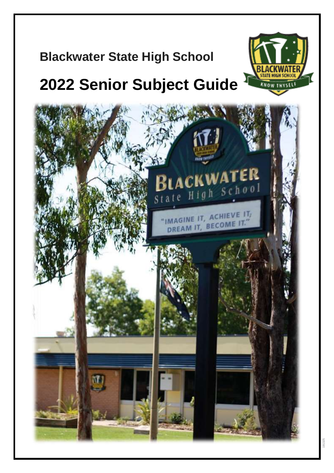# **Blackwater State High School**

# **2022 Senior Subject Guide**



KNOW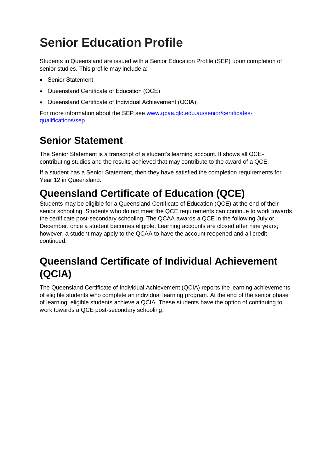# **Senior Education Profile**

Students in Queensland are issued with a Senior Education Profile (SEP) upon completion of senior studies. This profile may include a:

- Senior Statement
- Queensland Certificate of Education (QCE)
- Queensland Certificate of Individual Achievement (QCIA).

For more information about the SEP see [www.qcaa.qld.edu.au/senior/certificates](https://www.qcaa.qld.edu.au/senior/certificates-qualifications/sep)[qualifications/sep.](https://www.qcaa.qld.edu.au/senior/certificates-qualifications/sep)

# **Senior Statement**

The Senior Statement is a transcript of a student's learning account. It shows all QCEcontributing studies and the results achieved that may contribute to the award of a QCE.

If a student has a Senior Statement, then they have satisfied the completion requirements for Year 12 in Queensland.

# **Queensland Certificate of Education (QCE)**

Students may be eligible for a Queensland Certificate of Education (QCE) at the end of their senior schooling. Students who do not meet the QCE requirements can continue to work towards the certificate post-secondary schooling. The QCAA awards a QCE in the following July or December, once a student becomes eligible. Learning accounts are closed after nine years; however, a student may apply to the QCAA to have the account reopened and all credit continued.

# **Queensland Certificate of Individual Achievement (QCIA)**

The Queensland Certificate of Individual Achievement (QCIA) reports the learning achievements of eligible students who complete an individual learning program. At the end of the senior phase of learning, eligible students achieve a QCIA. These students have the option of continuing to work towards a QCE post-secondary schooling.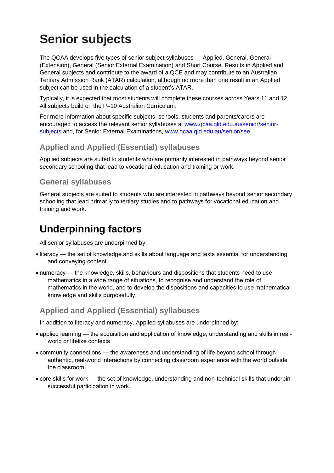# **Senior subjects**

The QCAA develops five types of senior subject syllabuses — Applied, General, General (Extension), General (Senior External Examination) and Short Course. Results in Applied and General subjects and contribute to the award of a QCE and may contribute to an Australian Tertiary Admission Rank (ATAR) calculation, although no more than one result in an Applied subject can be used in the calculation of a student's ATAR.

Typically, it is expected that most students will complete these courses across Years 11 and 12. All subjects build on the P–10 Australian Curriculum.

For more information about specific subjects, schools, students and parents/carers are encouraged to access the relevant senior syllabuses at [www.qcaa.qld.edu.au/senior/senior](http://www.qcaa.qld.edu.au/senior/senior-subjects)[subjects](http://www.qcaa.qld.edu.au/senior/senior-subjects) and, for Senior External Examinations, [www.qcaa.qld.edu.au/senior/see](http://www.qcaa.qld.edu.au/senior/see)

## **Applied and Applied (Essential) syllabuses**

Applied subjects are suited to students who are primarily interested in pathways beyond senior secondary schooling that lead to vocational education and training or work.

## **General syllabuses**

General subjects are suited to students who are interested in pathways beyond senior secondary schooling that lead primarily to tertiary studies and to pathways for vocational education and training and work.

# **Underpinning factors**

All senior syllabuses are underpinned by:

- literacy the set of knowledge and skills about language and texts essential for understanding and conveying content
- numeracy the knowledge, skills, behaviours and dispositions that students need to use mathematics in a wide range of situations, to recognise and understand the role of mathematics in the world, and to develop the dispositions and capacities to use mathematical knowledge and skills purposefully.

# **Applied and Applied (Essential) syllabuses**

In addition to literacy and numeracy, Applied syllabuses are underpinned by:

- applied learning the acquisition and application of knowledge, understanding and skills in realworld or lifelike contexts
- community connections the awareness and understanding of life beyond school through authentic, real-world interactions by connecting classroom experience with the world outside the classroom
- core skills for work the set of knowledge, understanding and non-technical skills that underpin successful participation in work.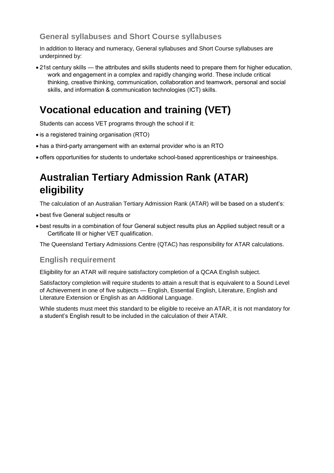# **General syllabuses and Short Course syllabuses**

In addition to literacy and numeracy, General syllabuses and Short Course syllabuses are underpinned by:

• 21st century skills — the attributes and skills students need to prepare them for higher education, work and engagement in a complex and rapidly changing world. These include critical thinking, creative thinking, communication, collaboration and teamwork, personal and social skills, and information & communication technologies (ICT) skills.

# **Vocational education and training (VET)**

Students can access VET programs through the school if it:

- is a registered training organisation (RTO)
- has a third-party arrangement with an external provider who is an RTO
- offers opportunities for students to undertake school-based apprenticeships or traineeships.

# **Australian Tertiary Admission Rank (ATAR) eligibility**

The calculation of an Australian Tertiary Admission Rank (ATAR) will be based on a student's:

- best five General subject results or
- best results in a combination of four General subject results plus an Applied subject result or a Certificate III or higher VET qualification.

The Queensland Tertiary Admissions Centre (QTAC) has responsibility for ATAR calculations.

#### **English requirement**

Eligibility for an ATAR will require satisfactory completion of a QCAA English subject.

Satisfactory completion will require students to attain a result that is equivalent to a Sound Level of Achievement in one of five subjects — English, Essential English, Literature, English and Literature Extension or English as an Additional Language.

While students must meet this standard to be eligible to receive an ATAR, it is not mandatory for a student's English result to be included in the calculation of their ATAR.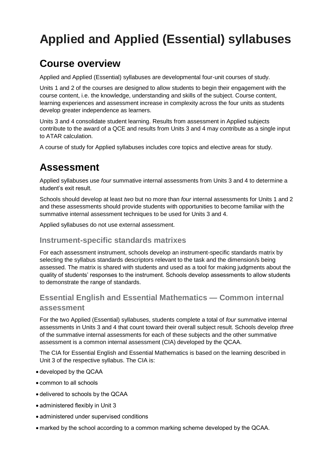# **Applied and Applied (Essential) syllabuses**

# **Course overview**

Applied and Applied (Essential) syllabuses are developmental four-unit courses of study.

Units 1 and 2 of the courses are designed to allow students to begin their engagement with the course content, i.e. the knowledge, understanding and skills of the subject. Course content, learning experiences and assessment increase in complexity across the four units as students develop greater independence as learners.

Units 3 and 4 consolidate student learning. Results from assessment in Applied subjects contribute to the award of a QCE and results from Units 3 and 4 may contribute as a single input to ATAR calculation.

A course of study for Applied syllabuses includes core topics and elective areas for study.

# **Assessment**

Applied syllabuses use *four* summative internal assessments from Units 3 and 4 to determine a student's exit result.

Schools should develop at least *two* but no more than *four* internal assessments for Units 1 and 2 and these assessments should provide students with opportunities to become familiar with the summative internal assessment techniques to be used for Units 3 and 4.

Applied syllabuses do not use external assessment.

#### **Instrument-specific standards matrixes**

For each assessment instrument, schools develop an instrument-specific standards matrix by selecting the syllabus standards descriptors relevant to the task and the dimension/s being assessed. The matrix is shared with students and used as a tool for making judgments about the quality of students' responses to the instrument. Schools develop assessments to allow students to demonstrate the range of standards.

# **Essential English and Essential Mathematics — Common internal assessment**

For the two Applied (Essential) syllabuses, students complete a total of *four* summative internal assessments in Units 3 and 4 that count toward their overall subject result. Schools develop *three* of the summative internal assessments for each of these subjects and the other summative assessment is a common internal assessment (CIA) developed by the QCAA.

The CIA for Essential English and Essential Mathematics is based on the learning described in Unit 3 of the respective syllabus. The CIA is:

- developed by the QCAA
- common to all schools
- delivered to schools by the QCAA
- administered flexibly in Unit 3
- administered under supervised conditions
- marked by the school according to a common marking scheme developed by the QCAA.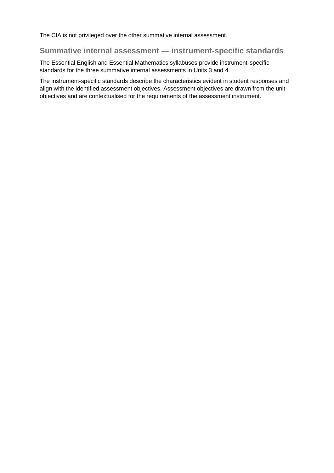The CIA is not privileged over the other summative internal assessment.

## **Summative internal assessment — instrument-specific standards**

The Essential English and Essential Mathematics syllabuses provide instrument-specific standards for the three summative internal assessments in Units 3 and 4.

The instrument-specific standards describe the characteristics evident in student responses and align with the identified assessment objectives. Assessment objectives are drawn from the unit objectives and are contextualised for the requirements of the assessment instrument.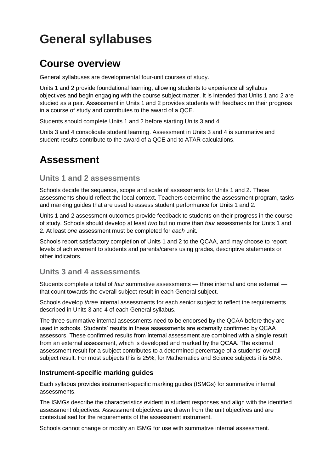# **General syllabuses**

# **Course overview**

General syllabuses are developmental four-unit courses of study.

Units 1 and 2 provide foundational learning, allowing students to experience all syllabus objectives and begin engaging with the course subject matter. It is intended that Units 1 and 2 are studied as a pair. Assessment in Units 1 and 2 provides students with feedback on their progress in a course of study and contributes to the award of a QCE.

Students should complete Units 1 and 2 before starting Units 3 and 4.

Units 3 and 4 consolidate student learning. Assessment in Units 3 and 4 is summative and student results contribute to the award of a QCE and to ATAR calculations.

# **Assessment**

## **Units 1 and 2 assessments**

Schools decide the sequence, scope and scale of assessments for Units 1 and 2. These assessments should reflect the local context. Teachers determine the assessment program, tasks and marking guides that are used to assess student performance for Units 1 and 2.

Units 1 and 2 assessment outcomes provide feedback to students on their progress in the course of study. Schools should develop at least *two* but no more than *four* assessments for Units 1 and 2. At least *one* assessment must be completed for *each* unit.

Schools report satisfactory completion of Units 1 and 2 to the QCAA, and may choose to report levels of achievement to students and parents/carers using grades, descriptive statements or other indicators.

## **Units 3 and 4 assessments**

Students complete a total of *four* summative assessments — three internal and one external that count towards the overall subject result in each General subject.

Schools develop *three* internal assessments for each senior subject to reflect the requirements described in Units 3 and 4 of each General syllabus.

The three summative internal assessments need to be endorsed by the QCAA before they are used in schools. Students' results in these assessments are externally confirmed by QCAA assessors. These confirmed results from internal assessment are combined with a single result from an external assessment, which is developed and marked by the QCAA. The external assessment result for a subject contributes to a determined percentage of a students' overall subject result. For most subjects this is 25%; for Mathematics and Science subjects it is 50%.

#### **Instrument-specific marking guides**

Each syllabus provides instrument-specific marking guides (ISMGs) for summative internal assessments.

The ISMGs describe the characteristics evident in student responses and align with the identified assessment objectives. Assessment objectives are drawn from the unit objectives and are contextualised for the requirements of the assessment instrument.

Schools cannot change or modify an ISMG for use with summative internal assessment.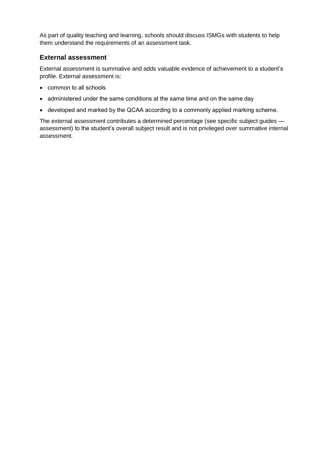As part of quality teaching and learning, schools should discuss ISMGs with students to help them understand the requirements of an assessment task.

#### **External assessment**

External assessment is summative and adds valuable evidence of achievement to a student's profile. External assessment is:

- common to all schools
- administered under the same conditions at the same time and on the same day
- developed and marked by the QCAA according to a commonly applied marking scheme.

The external assessment contributes a determined percentage (see specific subject guides assessment) to the student's overall subject result and is not privileged over summative internal assessment.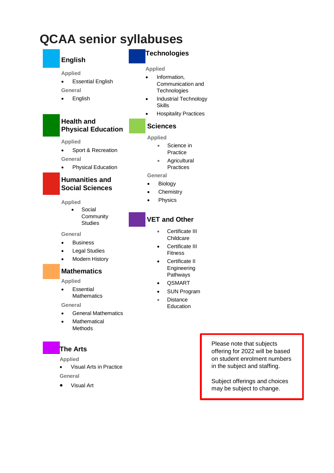# **QCAA senior syllabuses**

# **English Applied**

**General** • English

**Applied**

**General**

**Health and** 

• Essential English

**Physical Education**

• Sport & Recreation

• Physical Education

**Humanities and Social Sciences**

• Social

**Community Studies** 

# **Technologies**

#### **Applied**

- Information, Communication and **Technologies**
- Industrial Technology Skills
- Hospitality Practices

#### **Sciences**

#### **Applied**

- Science in
	- Practice
	- **Agricultural Practices**

**General**

- Biology
- **Chemistry**
- **Physics**

# **VET and Other**

- Certificate III **Childcare**
- Certificate III **Fitness**
- Certificate II Engineering Pathways
- QSMART
- SUN Program
- **Distance** Education

**General**

**Applied**

- **Business**
- **Legal Studies**
- **Modern History**

## **Mathematics**

**Applied**

**Fssential Mathematics** 

**General**

- General Mathematics
- **Mathematical** Methods

#### **The Arts**

**Applied**

• Visual Arts in Practice

**General**

• Visual Art

Please note that subjects offering for 2022 will be based on student enrolment numbers in the subject and staffing.

Subject offerings and choices may be subject to change.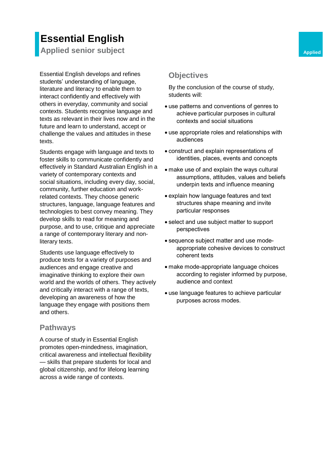# **Essential English**

**Applied senior subject Applied Applied Applied** 

Essential English develops and refines students' understanding of language, literature and literacy to enable them to interact confidently and effectively with others in everyday, community and social contexts. Students recognise language and texts as relevant in their lives now and in the future and learn to understand, accept or challenge the values and attitudes in these texts.

Students engage with language and texts to foster skills to communicate confidently and effectively in Standard Australian English in a variety of contemporary contexts and social situations, including every day, social, community, further education and workrelated contexts. They choose generic structures, language, language features and technologies to best convey meaning. They develop skills to read for meaning and purpose, and to use, critique and appreciate a range of contemporary literary and nonliterary texts.

Students use language effectively to produce texts for a variety of purposes and audiences and engage creative and imaginative thinking to explore their own world and the worlds of others. They actively and critically interact with a range of texts, developing an awareness of how the language they engage with positions them and others.

## **Pathways**

A course of study in Essential English promotes open-mindedness, imagination, critical awareness and intellectual flexibility — skills that prepare students for local and global citizenship, and for lifelong learning across a wide range of contexts.

# **Objectives**

- use patterns and conventions of genres to achieve particular purposes in cultural contexts and social situations
- use appropriate roles and relationships with audiences
- construct and explain representations of identities, places, events and concepts
- make use of and explain the ways cultural assumptions, attitudes, values and beliefs underpin texts and influence meaning
- explain how language features and text structures shape meaning and invite particular responses
- select and use subject matter to support perspectives
- sequence subject matter and use modeappropriate cohesive devices to construct coherent texts
- make mode-appropriate language choices according to register informed by purpose, audience and context
- use language features to achieve particular purposes across modes.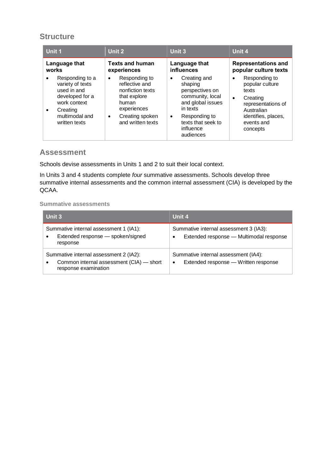| Unit 1                                                                                                                                            | Unit 2                                                                                                                                                | Unit 3                                                                                                                                                                             | Unit 4                                                                                                                                                  |
|---------------------------------------------------------------------------------------------------------------------------------------------------|-------------------------------------------------------------------------------------------------------------------------------------------------------|------------------------------------------------------------------------------------------------------------------------------------------------------------------------------------|---------------------------------------------------------------------------------------------------------------------------------------------------------|
| Language that<br>works                                                                                                                            | <b>Texts and human</b><br>experiences                                                                                                                 | Language that<br>influences                                                                                                                                                        | <b>Representations and</b><br>popular culture texts                                                                                                     |
| Responding to a<br>variety of texts<br>used in and<br>developed for a<br>work context<br>Creating<br>$\bullet$<br>multimodal and<br>written texts | Responding to<br>$\bullet$<br>reflective and<br>nonfiction texts<br>that explore<br>human<br>experiences<br>Creating spoken<br>٠<br>and written texts | Creating and<br>$\bullet$<br>shaping<br>perspectives on<br>community, local<br>and global issues<br>in texts<br>Responding to<br>٠<br>texts that seek to<br>influence<br>audiences | Responding to<br>popular culture<br>texts<br>Creating<br>$\bullet$<br>representations of<br>Australian<br>identifies, places,<br>events and<br>concepts |

## **Assessment**

Schools devise assessments in Units 1 and 2 to suit their local context.

In Units 3 and 4 students complete *four* summative assessments. Schools develop three summative internal assessments and the common internal assessment (CIA) is developed by the QCAA.

| Unit 3                                                                                                                  | Unit 4                                                                                         |
|-------------------------------------------------------------------------------------------------------------------------|------------------------------------------------------------------------------------------------|
| Summative internal assessment 1 (IA1):<br>Extended response - spoken/signed<br>٠<br>response                            | Summative internal assessment 3 (IA3):<br>Extended response - Multimodal response<br>$\bullet$ |
| Summative internal assessment 2 (IA2):<br>Common internal assessment (CIA) - short<br>$\bullet$<br>response examination | Summative internal assessment (IA4):<br>Extended response - Written response<br>$\bullet$      |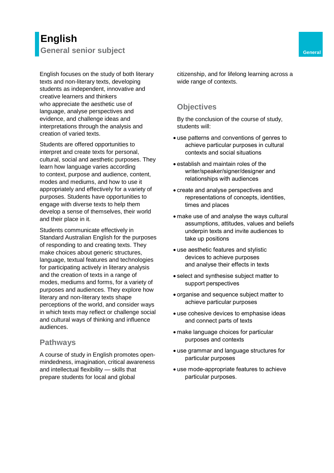# **English General senior subject General General**

English focuses on the study of both literary texts and non-literary texts, developing students as independent, innovative and creative learners and thinkers who appreciate the aesthetic use of language, analyse perspectives and evidence, and challenge ideas and interpretations through the analysis and creation of varied texts.

Students are offered opportunities to interpret and create texts for personal, cultural, social and aesthetic purposes. They learn how language varies according to context, purpose and audience, content, modes and mediums, and how to use it appropriately and effectively for a variety of purposes. Students have opportunities to engage with diverse texts to help them develop a sense of themselves, their world and their place in it.

Students communicate effectively in Standard Australian English for the purposes of responding to and creating texts. They make choices about generic structures, language, textual features and technologies for participating actively in literary analysis and the creation of texts in a range of modes, mediums and forms, for a variety of purposes and audiences. They explore how literary and non-literary texts shape perceptions of the world, and consider ways in which texts may reflect or challenge social and cultural ways of thinking and influence audiences.

#### **Pathways**

A course of study in English promotes openmindedness, imagination, critical awareness and intellectual flexibility — skills that prepare students for local and global

citizenship, and for lifelong learning across a wide range of contexts.

## **Objectives**

- use patterns and conventions of genres to achieve particular purposes in cultural contexts and social situations
- establish and maintain roles of the writer/speaker/signer/designer and relationships with audiences
- create and analyse perspectives and representations of concepts, identities, times and places
- make use of and analyse the ways cultural assumptions, attitudes, values and beliefs underpin texts and invite audiences to take up positions
- use aesthetic features and stylistic devices to achieve purposes and analyse their effects in texts
- select and synthesise subject matter to support perspectives
- organise and sequence subject matter to achieve particular purposes
- use cohesive devices to emphasise ideas and connect parts of texts
- make language choices for particular purposes and contexts
- use grammar and language structures for particular purposes
- use mode-appropriate features to achieve particular purposes.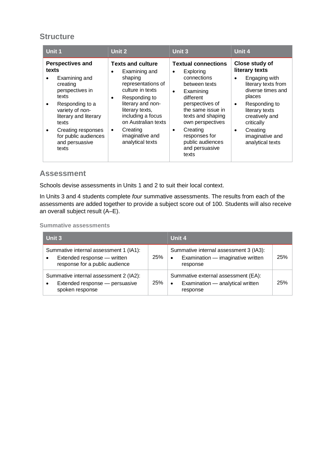| Unit 1                                                                                                                                                                                                                                                  | Unit 2                                                                                                                                                                                                                                                                                | <b>Unit 3</b>                                                                                                                                                                                                                                                                            | Unit 4                                                                                                                                                                                                                                                               |
|---------------------------------------------------------------------------------------------------------------------------------------------------------------------------------------------------------------------------------------------------------|---------------------------------------------------------------------------------------------------------------------------------------------------------------------------------------------------------------------------------------------------------------------------------------|------------------------------------------------------------------------------------------------------------------------------------------------------------------------------------------------------------------------------------------------------------------------------------------|----------------------------------------------------------------------------------------------------------------------------------------------------------------------------------------------------------------------------------------------------------------------|
| <b>Perspectives and</b><br>texts<br>Examining and<br>creating<br>perspectives in<br>texts<br>Responding to a<br>variety of non-<br>literary and literary<br>texts<br>Creating responses<br>$\bullet$<br>for public audiences<br>and persuasive<br>texts | <b>Texts and culture</b><br>Examining and<br>$\bullet$<br>shaping<br>representations of<br>culture in texts<br>Responding to<br>٠<br>literary and non-<br>literary texts,<br>including a focus<br>on Australian texts<br>Creating<br>$\bullet$<br>imaginative and<br>analytical texts | <b>Textual connections</b><br>Exploring<br>connections<br>between texts<br>Examining<br>$\bullet$<br>different<br>perspectives of<br>the same issue in<br>texts and shaping<br>own perspectives<br>Creating<br>$\bullet$<br>responses for<br>public audiences<br>and persuasive<br>texts | Close study of<br>literary texts<br>Engaging with<br>$\bullet$<br>literary texts from<br>diverse times and<br>places<br>Responding to<br>$\bullet$<br>literary texts<br>creatively and<br>critically<br>Creating<br>$\bullet$<br>imaginative and<br>analytical texts |

## **Assessment**

Schools devise assessments in Units 1 and 2 to suit their local context.

In Units 3 and 4 students complete *four* summative assessments. The results from each of the assessments are added together to provide a subject score out of 100. Students will also receive an overall subject result (A–E).

| Unit 3                                                                                                               |            | Unit 4                                                                                               |            |
|----------------------------------------------------------------------------------------------------------------------|------------|------------------------------------------------------------------------------------------------------|------------|
| Summative internal assessment 1 (IA1):<br>Extended response - written<br>$\bullet$<br>response for a public audience | <b>25%</b> | Summative internal assessment 3 (IA3):<br>Examination - imaginative written<br>$\bullet$<br>response | <b>25%</b> |
| Summative internal assessment 2 (IA2):<br>Extended response - persuasive<br>$\bullet$<br>spoken response             | <b>25%</b> | Summative external assessment (EA):<br>Examination - analytical written<br>$\bullet$<br>response     | 25%        |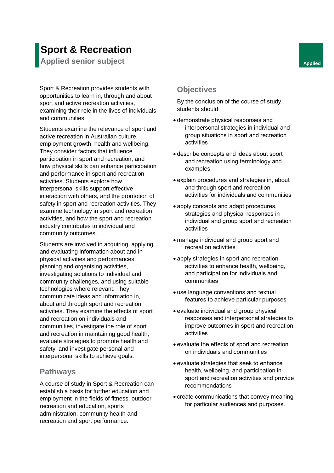# **Sport & Recreation**

**Applied senior subject Applied Applied Applied** 

Sport & Recreation provides students with opportunities to learn in, through and about sport and active recreation activities, examining their role in the lives of individuals and communities.

Students examine the relevance of sport and active recreation in Australian culture, employment growth, health and wellbeing. They consider factors that influence participation in sport and recreation, and how physical skills can enhance participation and performance in sport and recreation activities. Students explore how interpersonal skills support effective interaction with others, and the promotion of safety in sport and recreation activities. They examine technology in sport and recreation activities, and how the sport and recreation industry contributes to individual and community outcomes.

Students are involved in acquiring, applying and evaluating information about and in physical activities and performances, planning and organising activities, investigating solutions to individual and community challenges, and using suitable technologies where relevant. They communicate ideas and information in, about and through sport and recreation activities. They examine the effects of sport and recreation on individuals and communities, investigate the role of sport and recreation in maintaining good health, evaluate strategies to promote health and safety, and investigate personal and interpersonal skills to achieve goals.

# **Pathways**

A course of study in Sport & Recreation can establish a basis for further education and employment in the fields of fitness, outdoor recreation and education, sports administration, community health and recreation and sport performance.

# **Objectives**

- demonstrate physical responses and interpersonal strategies in individual and group situations in sport and recreation activities
- describe concepts and ideas about sport and recreation using terminology and examples
- explain procedures and strategies in, about and through sport and recreation activities for individuals and communities
- apply concepts and adapt procedures, strategies and physical responses in individual and group sport and recreation activities
- manage individual and group sport and recreation activities
- apply strategies in sport and recreation activities to enhance health, wellbeing, and participation for individuals and communities
- use language conventions and textual features to achieve particular purposes
- evaluate individual and group physical responses and interpersonal strategies to improve outcomes in sport and recreation activities
- evaluate the effects of sport and recreation on individuals and communities
- evaluate strategies that seek to enhance health, wellbeing, and participation in sport and recreation activities and provide recommendations
- create communications that convey meaning for particular audiences and purposes.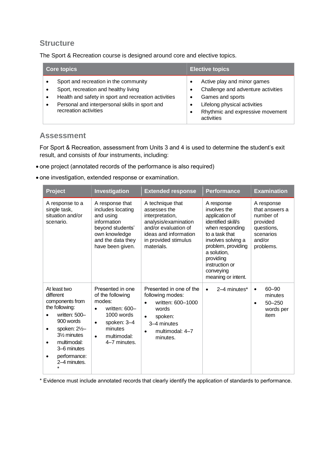The Sport & Recreation course is designed around core and elective topics.

| <b>Core topics</b>                                                                                                                                                                                               | <b>Elective topics</b>                                                                                                                                                  |
|------------------------------------------------------------------------------------------------------------------------------------------------------------------------------------------------------------------|-------------------------------------------------------------------------------------------------------------------------------------------------------------------------|
| Sport and recreation in the community<br>Sport, recreation and healthy living<br>Health and safety in sport and recreation activities<br>Personal and interpersonal skills in sport and<br>recreation activities | Active play and minor games<br>Challenge and adventure activities<br>Games and sports<br>Lifelong physical activities<br>Rhythmic and expressive movement<br>activities |

#### **Assessment**

For Sport & Recreation, assessment from Units 3 and 4 is used to determine the student's exit result, and consists of *four* instruments, including:

- one project (annotated records of the performance is also required)
- one investigation, extended response or examination.

| <b>Project</b>                                                                                                                                                                                                                  | Investigation                                                                                                                                                                 | <b>Extended response</b>                                                                                                                                                  | <b>Performance</b>                                                                                                                                                                                                                   | <b>Examination</b>                                                                                      |
|---------------------------------------------------------------------------------------------------------------------------------------------------------------------------------------------------------------------------------|-------------------------------------------------------------------------------------------------------------------------------------------------------------------------------|---------------------------------------------------------------------------------------------------------------------------------------------------------------------------|--------------------------------------------------------------------------------------------------------------------------------------------------------------------------------------------------------------------------------------|---------------------------------------------------------------------------------------------------------|
| A response to a<br>single task,<br>situation and/or<br>scenario.                                                                                                                                                                | A response that<br>includes locating<br>and using<br>information<br>beyond students'<br>own knowledge<br>and the data they<br>have been given.                                | A technique that<br>assesses the<br>interpretation,<br>analysis/examination<br>and/or evaluation of<br>ideas and information<br>in provided stimulus<br>materials.        | A response<br>involves the<br>application of<br>identified skill/s<br>when responding<br>to a task that<br>involves solving a<br>problem, providing<br>a solution.<br>providing<br>instruction or<br>conveying<br>meaning or intent. | A response<br>that answers a<br>number of<br>provided<br>questions,<br>scenarios<br>and/or<br>problems. |
| At least two<br>different<br>components from<br>the following:<br>written: 500-<br>900 words<br>spoken: $2\frac{1}{2}$<br>٠<br>31/ <sub>2</sub> minutes<br>multimodal:<br>٠<br>3–6 minutes<br>performance:<br>٠<br>2–4 minutes. | Presented in one<br>of the following<br>modes:<br>written: 600-<br>$\bullet$<br>1000 words<br>spoken: 3-4<br>$\bullet$<br>minutes<br>multimodal:<br>$\bullet$<br>4-7 minutes. | Presented in one of the<br>following modes:<br>written: 600-1000<br>$\bullet$<br>words<br>spoken:<br>$\bullet$<br>3-4 minutes<br>multimodal: 4-7<br>$\bullet$<br>minutes. | 2–4 minutes*<br>$\bullet$                                                                                                                                                                                                            | $60 - 90$<br>$\bullet$<br>minutes<br>$50 - 250$<br>$\bullet$<br>words per<br>item                       |

\* Evidence must include annotated records that clearly identify the application of standards to performance.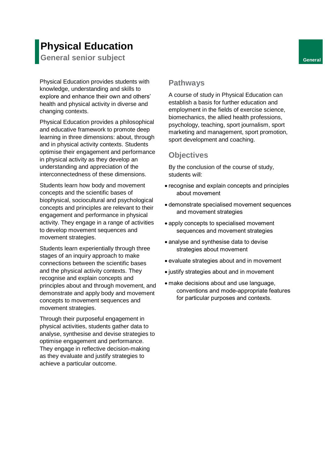# **Physical Education**

**General senior subject General** 

Physical Education provides students with knowledge, understanding and skills to explore and enhance their own and others' health and physical activity in diverse and changing contexts.

Physical Education provides a philosophical and educative framework to promote deep learning in three dimensions: about, through and in physical activity contexts. Students optimise their engagement and performance in physical activity as they develop an understanding and appreciation of the interconnectedness of these dimensions.

Students learn how body and movement concepts and the scientific bases of biophysical, sociocultural and psychological concepts and principles are relevant to their engagement and performance in physical activity. They engage in a range of activities to develop movement sequences and movement strategies.

Students learn experientially through three stages of an inquiry approach to make connections between the scientific bases and the physical activity contexts. They recognise and explain concepts and principles about and through movement, and demonstrate and apply body and movement concepts to movement sequences and movement strategies.

Through their purposeful engagement in physical activities, students gather data to analyse, synthesise and devise strategies to optimise engagement and performance. They engage in reflective decision-making as they evaluate and justify strategies to achieve a particular outcome.

## **Pathways**

A course of study in Physical Education can establish a basis for further education and employment in the fields of exercise science, biomechanics, the allied health professions, psychology, teaching, sport journalism, sport marketing and management, sport promotion, sport development and coaching.

#### **Objectives**

- recognise and explain concepts and principles about movement
- demonstrate specialised movement sequences and movement strategies
- apply concepts to specialised movement sequences and movement strategies
- analyse and synthesise data to devise strategies about movement
- evaluate strategies about and in movement
- justify strategies about and in movement
- make decisions about and use language, conventions and mode-appropriate features for particular purposes and contexts.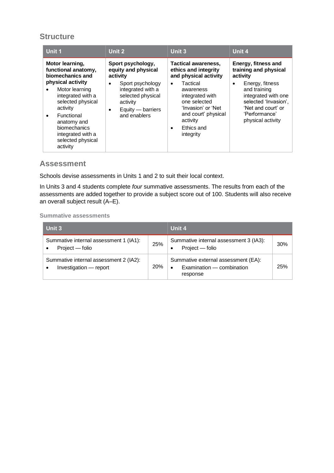| Unit 1                                                                                                                                                                                                                                                     | Unit 2                                                                                                                                                              | <b>Unit 3</b>                                                                                                                                                                                                                                         | Unit 4                                                                                                                                                                                                 |
|------------------------------------------------------------------------------------------------------------------------------------------------------------------------------------------------------------------------------------------------------------|---------------------------------------------------------------------------------------------------------------------------------------------------------------------|-------------------------------------------------------------------------------------------------------------------------------------------------------------------------------------------------------------------------------------------------------|--------------------------------------------------------------------------------------------------------------------------------------------------------------------------------------------------------|
| Motor learning,<br>functional anatomy,<br>biomechanics and<br>physical activity<br>Motor learning<br>integrated with a<br>selected physical<br>activity<br>Functional<br>anatomy and<br>biomechanics<br>integrated with a<br>selected physical<br>activity | Sport psychology,<br>equity and physical<br>activity<br>Sport psychology<br>integrated with a<br>selected physical<br>activity<br>Equity — barriers<br>and enablers | <b>Tactical awareness,</b><br>ethics and integrity<br>and physical activity<br>Tactical<br>$\bullet$<br>awareness<br>integrated with<br>one selected<br>'Invasion' or 'Net<br>and court' physical<br>activity<br>Ethics and<br>$\bullet$<br>integrity | Energy, fitness and<br>training and physical<br>activity<br>Energy, fitness<br>and training<br>integrated with one<br>selected 'Invasion',<br>'Net and court' or<br>'Performance'<br>physical activity |

#### **Assessment**

Schools devise assessments in Units 1 and 2 to suit their local context.

In Units 3 and 4 students complete *four* summative assessments. The results from each of the assessments are added together to provide a subject score out of 100. Students will also receive an overall subject result (A–E).

| Unit 3                                                                        |            | Unit 4                                                                       |     |
|-------------------------------------------------------------------------------|------------|------------------------------------------------------------------------------|-----|
| Summative internal assessment 1 (IA1):<br>Project — folio<br>$\bullet$        | 25%        | Summative internal assessment 3 (IA3):<br>Project - folio<br>٠               | 30% |
| Summative internal assessment 2 (IA2):<br>Investigation - report<br>$\bullet$ | <b>20%</b> | Summative external assessment (EA):<br>Examination – combination<br>response | 25% |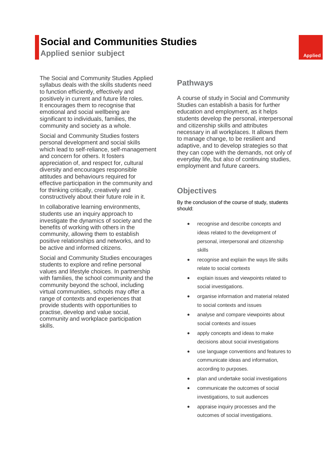# **Social and Communities Studies**

**Applied senior subject Applied Applied Applied** 

The Social and Community Studies Applied syllabus deals with the skills students need to function efficiently, effectively and positively in current and future life roles. It encourages them to recognise that emotional and social wellbeing are significant to individuals, families, the community and society as a whole.

Social and Community Studies fosters personal development and social skills which lead to self-reliance, self-management and concern for others. It fosters appreciation of, and respect for, cultural diversity and encourages responsible attitudes and behaviours required for effective participation in the community and for thinking critically, creatively and constructively about their future role in it.

In collaborative learning environments, students use an inquiry approach to investigate the dynamics of society and the benefits of working with others in the community, allowing them to establish positive relationships and networks, and to be active and informed citizens.

Social and Community Studies encourages students to explore and refine personal values and lifestyle choices. In partnership with families, the school community and the community beyond the school, including virtual communities, schools may offer a range of contexts and experiences that provide students with opportunities to practise, develop and value social, community and workplace participation skills.

#### **Pathways**

A course of study in Social and Community Studies can establish a basis for further education and employment, as it helps students develop the personal, interpersonal and citizenship skills and attributes necessary in all workplaces. It allows them to manage change, to be resilient and adaptive, and to develop strategies so that they can cope with the demands, not only of everyday life, but also of continuing studies, employment and future careers.

# **Objectives**

- recognise and describe concepts and ideas related to the development of personal, interpersonal and citizenship skills
- recognise and explain the ways life skills relate to social contexts
- explain issues and viewpoints related to social investigations.
- organise information and material related to social contexts and issues
- analyse and compare viewpoints about social contexts and issues
- apply concepts and ideas to make decisions about social investigations
- use language conventions and features to communicate ideas and information, according to purposes.
- plan and undertake social investigations
- communicate the outcomes of social investigations, to suit audiences
- appraise inquiry processes and the outcomes of social investigations.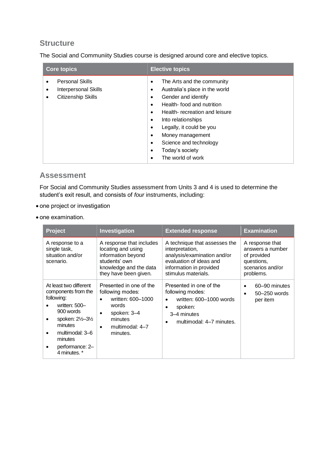The Social and Communiity Studies course is designed around core and elective topics.

| <b>Core topics</b>                                                   | <b>Elective topics</b>                                                                                                                                                                                                                                                                                                                                                                                      |
|----------------------------------------------------------------------|-------------------------------------------------------------------------------------------------------------------------------------------------------------------------------------------------------------------------------------------------------------------------------------------------------------------------------------------------------------------------------------------------------------|
| <b>Personal Skills</b><br>Interpersonal Skills<br>Citizenship Skills | The Arts and the community<br>$\bullet$<br>Australia's place in the world<br>٠<br>Gender and identify<br>$\bullet$<br>Health-food and nutrition<br>$\bullet$<br>Health-recreation and leisure<br>$\bullet$<br>Into relationships<br>$\bullet$<br>Legally, it could be you<br>٠<br>Money management<br>$\bullet$<br>Science and technology<br>$\bullet$<br>Today's society<br>$\bullet$<br>The world of work |

#### **Assessment**

For Social and Community Studies assessment from Units 3 and 4 is used to determine the student's exit result, and consists of *four* instruments, including:

- one project or investigation
- one examination.

| <b>Project</b>                                                                                                                                                                                                                                | Investigation                                                                                                                                                             | <b>Extended response</b>                                                                                                                                     | <b>Examination</b>                                                                                |
|-----------------------------------------------------------------------------------------------------------------------------------------------------------------------------------------------------------------------------------------------|---------------------------------------------------------------------------------------------------------------------------------------------------------------------------|--------------------------------------------------------------------------------------------------------------------------------------------------------------|---------------------------------------------------------------------------------------------------|
| A response to a<br>single task,<br>situation and/or<br>scenario.                                                                                                                                                                              | A response that includes<br>locating and using<br>information beyond<br>students' own<br>knowledge and the data<br>they have been given.                                  | A technique that assesses the<br>interpretation,<br>analysis/examination and/or<br>evaluation of ideas and<br>information in provided<br>stimulus materials. | A response that<br>answers a number<br>of provided<br>questions,<br>scenarios and/or<br>problems. |
| At least two different<br>components from the<br>following:<br>written: 500-<br>900 words<br>spoken: 21/ <sub>2</sub> -31/ <sub>2</sub><br>$\bullet$<br>minutes<br>multimodal: 3-6<br>$\bullet$<br>minutes<br>performance: 2-<br>4 minutes. * | Presented in one of the<br>following modes:<br>written: 600-1000<br>$\bullet$<br>words<br>spoken: 3-4<br>$\bullet$<br>minutes<br>multimodal: 4-7<br>$\bullet$<br>minutes. | Presented in one of the<br>following modes:<br>written: 600-1000 words<br>spoken:<br>3-4 minutes<br>multimodal: 4-7 minutes.                                 | 60–90 minutes<br>50–250 words<br>$\bullet$<br>per item                                            |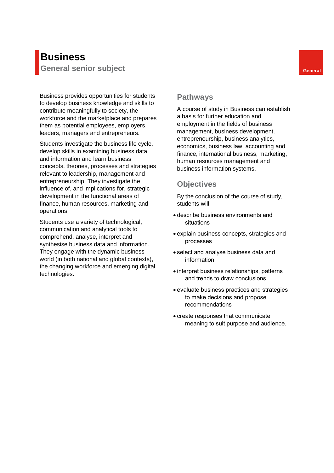# **Business General senior subject General**

Business provides opportunities for students to develop business knowledge and skills to contribute meaningfully to society, the workforce and the marketplace and prepares them as potential employees, employers, leaders, managers and entrepreneurs.

Students investigate the business life cycle, develop skills in examining business data and information and learn business concepts, theories, processes and strategies relevant to leadership, management and entrepreneurship. They investigate the influence of, and implications for, strategic development in the functional areas of finance, human resources, marketing and operations.

Students use a variety of technological, communication and analytical tools to comprehend, analyse, interpret and synthesise business data and information. They engage with the dynamic business world (in both national and global contexts), the changing workforce and emerging digital technologies.

#### **Pathways**

A course of study in Business can establish a basis for further education and employment in the fields of business management, business development, entrepreneurship, business analytics, economics, business law, accounting and finance, international business, marketing, human resources management and business information systems.

## **Objectives**

- describe business environments and situations
- explain business concepts, strategies and processes
- select and analyse business data and information
- interpret business relationships, patterns and trends to draw conclusions
- evaluate business practices and strategies to make decisions and propose recommendations
- create responses that communicate meaning to suit purpose and audience.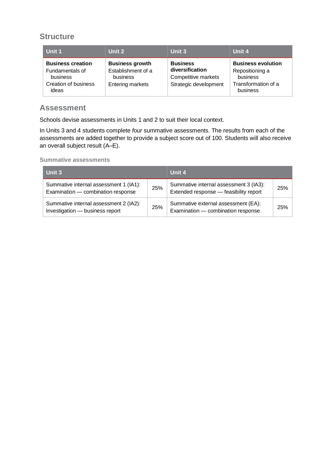| Unit 1                                                                                   | Unit 2                                                                              | Unit 3                                                                             | Unit 4                                                                                      |
|------------------------------------------------------------------------------------------|-------------------------------------------------------------------------------------|------------------------------------------------------------------------------------|---------------------------------------------------------------------------------------------|
| <b>Business creation</b><br>Fundamentals of<br>business<br>Creation of business<br>ideas | <b>Business growth</b><br>Establishment of a<br>business<br><b>Entering markets</b> | <b>Business</b><br>diversification<br>Competitive markets<br>Strategic development | <b>Business evolution</b><br>Repositioning a<br>business<br>Transformation of a<br>business |

#### **Assessment**

Schools devise assessments in Units 1 and 2 to suit their local context.

In Units 3 and 4 students complete *four* summative assessments. The results from each of the assessments are added together to provide a subject score out of 100. Students will also receive an overall subject result (A–E).

| Unit 3                                                                       |     | Unit 4                                                                           |     |
|------------------------------------------------------------------------------|-----|----------------------------------------------------------------------------------|-----|
| Summative internal assessment 1 (IA1):<br>Examination - combination response | 25% | Summative internal assessment 3 (IA3):<br>Extended response - feasibility report | 25% |
| Summative internal assessment 2 (IA2):<br>Investigation - business report    | 25% | Summative external assessment (EA):<br>Examination - combination response        | 25% |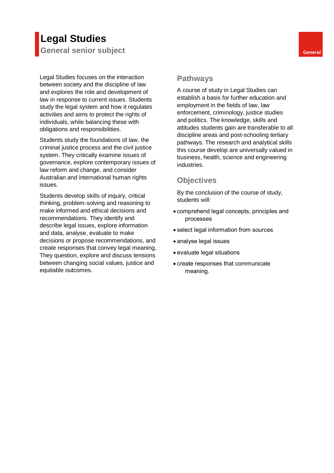# **Legal Studies General senior subject General**

Legal Studies focuses on the interaction between society and the discipline of law and explores the role and development of law in response to current issues. Students study the legal system and how it regulates activities and aims to protect the rights of individuals, while balancing these with obligations and responsibilities.

Students study the foundations of law, the criminal justice process and the civil justice system. They critically examine issues of governance, explore contemporary issues of law reform and change, and consider Australian and international human rights issues.

Students develop skills of inquiry, critical thinking, problem-solving and reasoning to make informed and ethical decisions and recommendations. They identify and describe legal issues, explore information and data, analyse, evaluate to make decisions or propose recommendations, and create responses that convey legal meaning. They question, explore and discuss tensions between changing social values, justice and equitable outcomes.

#### **Pathways**

A course of study in Legal Studies can establish a basis for further education and employment in the fields of law, law enforcement, criminology, justice studies and politics. The knowledge, skills and attitudes students gain are transferable to all discipline areas and post-schooling tertiary pathways. The research and analytical skills this course develop are universally valued in business, health, science and engineering industries.

#### **Objectives**

- comprehend legal concepts, principles and processes
- select legal information from sources
- analyse legal issues
- evaluate legal situations
- create responses that communicate meaning.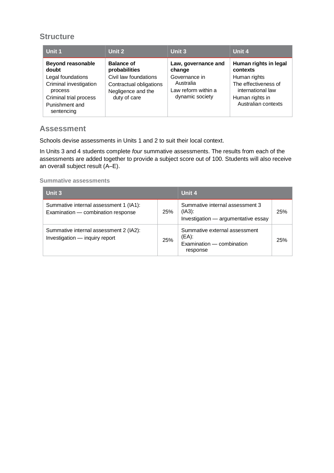| Unit 1                                                                                                                                                | Unit 2                                                                                                                       | Unit 3                                                                                                | Unit 4                                                                                                                                   |
|-------------------------------------------------------------------------------------------------------------------------------------------------------|------------------------------------------------------------------------------------------------------------------------------|-------------------------------------------------------------------------------------------------------|------------------------------------------------------------------------------------------------------------------------------------------|
| <b>Beyond reasonable</b><br>doubt<br>Legal foundations<br>Criminal investigation<br>process<br>Criminal trial process<br>Punishment and<br>sentencing | <b>Balance of</b><br>probabilities<br>Civil law foundations<br>Contractual obligations<br>Negligence and the<br>duty of care | Law, governance and<br>change<br>Governance in<br>Australia<br>Law reform within a<br>dynamic society | Human rights in legal<br>contexts<br>Human rights<br>The effectiveness of<br>international law<br>Human rights in<br>Australian contexts |

## **Assessment**

Schools devise assessments in Units 1 and 2 to suit their local context.

In Units 3 and 4 students complete *four* summative assessments. The results from each of the assessments are added together to provide a subject score out of 100. Students will also receive an overall subject result (A–E).

| Unit 3                                                                       |     | Unit 4                                                                              |     |
|------------------------------------------------------------------------------|-----|-------------------------------------------------------------------------------------|-----|
| Summative internal assessment 1 (IA1):<br>Examination - combination response | 25% | Summative internal assessment 3<br>$(IA3)$ :<br>Investigation - argumentative essay | 25% |
| Summative internal assessment 2 (IA2):<br>Investigation - inquiry report     | 25% | Summative external assessment<br>$(EA)$ :<br>Examination - combination<br>response  | 25% |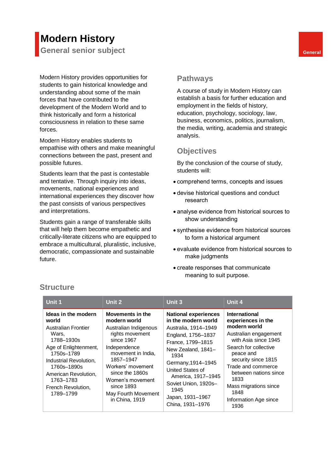# **Modern History**

**General senior subject General** 

Modern History provides opportunities for students to gain historical knowledge and understanding about some of the main forces that have contributed to the development of the Modern World and to think historically and form a historical consciousness in relation to these same forces.

Modern History enables students to empathise with others and make meaningful connections between the past, present and possible futures.

Students learn that the past is contestable and tentative. Through inquiry into ideas, movements, national experiences and international experiences they discover how the past consists of various perspectives and interpretations.

Students gain a range of transferable skills that will help them become empathetic and critically-literate citizens who are equipped to embrace a multicultural, pluralistic, inclusive, democratic, compassionate and sustainable future.

#### **Pathways**

A course of study in Modern History can establish a basis for further education and employment in the fields of history, education, psychology, sociology, law, business, economics, politics, journalism, the media, writing, academia and strategic analysis.

## **Objectives**

By the conclusion of the course of study, students will:

- comprehend terms, concepts and issues
- devise historical questions and conduct research
- analyse evidence from historical sources to show understanding
- synthesise evidence from historical sources to form a historical argument
- evaluate evidence from historical sources to make judgments
- create responses that communicate meaning to suit purpose.

| Unit 1                                                                                                                                                                                                                                    | Unit 2                                                                                                                                                                                                                                                           | Unit 3                                                                                                                                                                                                                                                                                      | Unit 4                                                                                                                                                                                                                                                                                            |
|-------------------------------------------------------------------------------------------------------------------------------------------------------------------------------------------------------------------------------------------|------------------------------------------------------------------------------------------------------------------------------------------------------------------------------------------------------------------------------------------------------------------|---------------------------------------------------------------------------------------------------------------------------------------------------------------------------------------------------------------------------------------------------------------------------------------------|---------------------------------------------------------------------------------------------------------------------------------------------------------------------------------------------------------------------------------------------------------------------------------------------------|
| Ideas in the modern<br>world<br><b>Australian Frontier</b><br>Wars,<br>1788–1930s<br>Age of Enlightenment,<br>1750s-1789<br>Industrial Revolution,<br>1760s-1890s<br>American Revolution,<br>1763-1783<br>French Revolution,<br>1789-1799 | Movements in the<br>modern world<br>Australian Indigenous<br>rights movement<br>since 1967<br>Independence<br>movement in India,<br>1857-1947<br>Workers' movement<br>since the 1860s<br>Women's movement<br>since 1893<br>May Fourth Movement<br>in China, 1919 | <b>National experiences</b><br>in the modern world<br>Australia, 1914-1949<br>England, 1756-1837<br>France, 1799-1815<br>New Zealand, 1841-<br>1934<br>Germany, 1914-1945<br>United States of<br>America, 1917-1945<br>Soviet Union, 1920s-<br>1945<br>Japan, 1931-1967<br>China, 1931-1976 | <b>International</b><br>experiences in the<br>modern world<br>Australian engagement<br>with Asia since 1945<br>Search for collective<br>peace and<br>security since 1815<br>Trade and commerce<br>between nations since<br>1833<br>Mass migrations since<br>1848<br>Information Age since<br>1936 |

#### **Structure**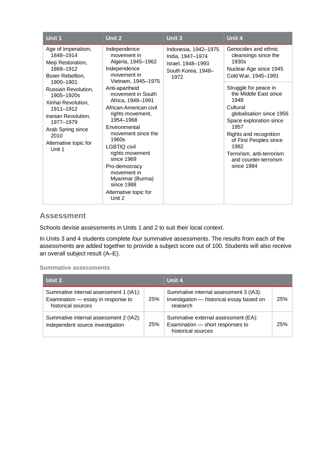| Unit 1                                                                                                                                                                                                                                                                           | Unit 2                                                                                                                                                                                                                                                                                                                                                                                                                                    | Unit 3                                                                                      | Unit 4                                                                                                                                                                                                                                                                                                                                                                      |
|----------------------------------------------------------------------------------------------------------------------------------------------------------------------------------------------------------------------------------------------------------------------------------|-------------------------------------------------------------------------------------------------------------------------------------------------------------------------------------------------------------------------------------------------------------------------------------------------------------------------------------------------------------------------------------------------------------------------------------------|---------------------------------------------------------------------------------------------|-----------------------------------------------------------------------------------------------------------------------------------------------------------------------------------------------------------------------------------------------------------------------------------------------------------------------------------------------------------------------------|
| Age of Imperialism,<br>1848-1914<br>Meiji Restoration,<br>1868-1912<br>Boxer Rebellion.<br>1900-1901<br>Russian Revolution,<br>1905-1920s<br>Xinhai Revolution,<br>1911-1912<br>Iranian Revolution,<br>1977-1979<br>Arab Spring since<br>2010<br>Alternative topic for<br>Unit 1 | Independence<br>movement in<br>Algeria, 1945-1962<br>Independence<br>movement in<br>Vietnam, 1945-1975<br>Anti-apartheid<br>movement in South<br>Africa, 1948-1991<br>African-American civil<br>rights movement,<br>1954-1968<br>Environmental<br>movement since the<br>1960s<br><b>LGBTIQ civil</b><br>rights movement<br>since 1969<br>Pro-democracy<br>movement in<br>Myanmar (Burma)<br>since 1988<br>Alternative topic for<br>Unit 2 | Indonesia, 1942-1975<br>India, 1947-1974<br>Israel, 1948–1993<br>South Korea, 1948-<br>1972 | Genocides and ethnic<br>cleansings since the<br>1930s<br>Nuclear Age since 1945<br>Cold War, 1945-1991<br>Struggle for peace in<br>the Middle East since<br>1948<br>Cultural<br>globalisation since 1956<br>Space exploration since<br>1957<br>Rights and recognition<br>of First Peoples since<br>1982<br>Terrorism, anti-terrorism<br>and counter-terrorism<br>since 1984 |

#### **Assessment**

Schools devise assessments in Units 1 and 2 to suit their local context.

In Units 3 and 4 students complete *four* summative assessments. The results from each of the assessments are added together to provide a subject score out of 100. Students will also receive an overall subject result (A–E).

| Unit 3                                                                                             |     | Unit 4                                                                                          |     |
|----------------------------------------------------------------------------------------------------|-----|-------------------------------------------------------------------------------------------------|-----|
| Summative internal assessment 1 (IA1):<br>Examination - essay in response to<br>historical sources | 25% | Summative internal assessment 3 (IA3):<br>Investigation - historical essay based on<br>research | 25% |
| Summative internal assessment 2 (IA2):<br>Independent source investigation                         | 25% | Summative external assessment (EA):<br>Examination - short responses to<br>historical sources   | 25% |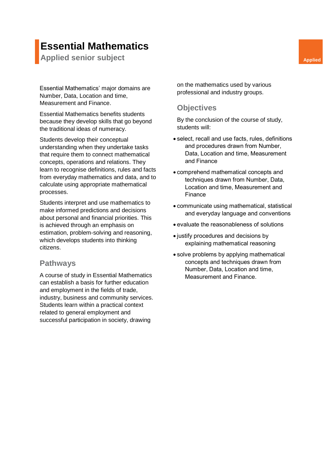# **Essential Mathematics**

**Applied senior subject Applied Applied Applied** 

Essential Mathematics' major domains are Number, Data, Location and time, Measurement and Finance.

Essential Mathematics benefits students because they develop skills that go beyond the traditional ideas of numeracy.

Students develop their conceptual understanding when they undertake tasks that require them to connect mathematical concepts, operations and relations. They learn to recognise definitions, rules and facts from everyday mathematics and data, and to calculate using appropriate mathematical processes.

Students interpret and use mathematics to make informed predictions and decisions about personal and financial priorities. This is achieved through an emphasis on estimation, problem-solving and reasoning, which develops students into thinking citizens.

#### **Pathways**

A course of study in Essential Mathematics can establish a basis for further education and employment in the fields of trade, industry, business and community services. Students learn within a practical context related to general employment and successful participation in society, drawing

on the mathematics used by various professional and industry groups.

#### **Objectives**

- select, recall and use facts, rules, definitions and procedures drawn from Number, Data, Location and time, Measurement and Finance
- comprehend mathematical concepts and techniques drawn from Number, Data, Location and time, Measurement and Finance
- communicate using mathematical, statistical and everyday language and conventions
- evaluate the reasonableness of solutions
- justify procedures and decisions by explaining mathematical reasoning
- solve problems by applying mathematical concepts and techniques drawn from Number, Data, Location and time, Measurement and Finance.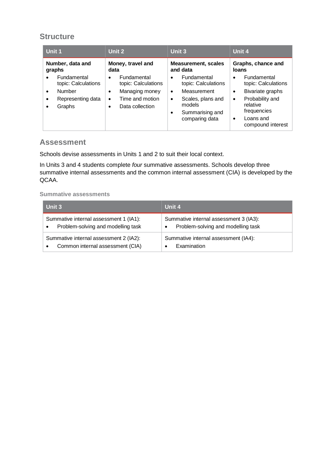| Unit 1                                                                                                                          | Unit 2                                                                                                                 | Unit 3                                                                                                                                                                    | Unit 4                                                                                                                                                                     |
|---------------------------------------------------------------------------------------------------------------------------------|------------------------------------------------------------------------------------------------------------------------|---------------------------------------------------------------------------------------------------------------------------------------------------------------------------|----------------------------------------------------------------------------------------------------------------------------------------------------------------------------|
| Number, data and<br>graphs                                                                                                      | Money, travel and<br>data                                                                                              | <b>Measurement, scales</b><br>and data                                                                                                                                    | Graphs, chance and<br>loans                                                                                                                                                |
| Fundamental<br>$\bullet$<br>topic: Calculations<br>Number<br>$\bullet$<br>Representing data<br>$\bullet$<br>Graphs<br>$\bullet$ | Fundamental<br>$\bullet$<br>topic: Calculations<br>Managing money<br>٠<br>Time and motion<br>٠<br>Data collection<br>٠ | Fundamental<br>$\bullet$<br>topic: Calculations<br>Measurement<br>$\bullet$<br>Scales, plans and<br>$\bullet$<br>models<br>Summarising and<br>$\bullet$<br>comparing data | Fundamental<br>$\bullet$<br>topic: Calculations<br>Bivariate graphs<br>$\bullet$<br>Probability and<br>٠<br>relative<br>frequencies<br>Loans and<br>٠<br>compound interest |

#### **Assessment**

Schools devise assessments in Units 1 and 2 to suit their local context.

In Units 3 and 4 students complete *four* summative assessments. Schools develop three summative internal assessments and the common internal assessment (CIA) is developed by the QCAA.

| Unit 3                                                                                    | Unit 4                                                                       |
|-------------------------------------------------------------------------------------------|------------------------------------------------------------------------------|
| Summative internal assessment 1 (IA1):<br>Problem-solving and modelling task<br>$\bullet$ | Summative internal assessment 3 (IA3):<br>Problem-solving and modelling task |
| Summative internal assessment 2 (IA2):<br>Common internal assessment (CIA)<br>$\bullet$   | Summative internal assessment (IA4):<br>Examination                          |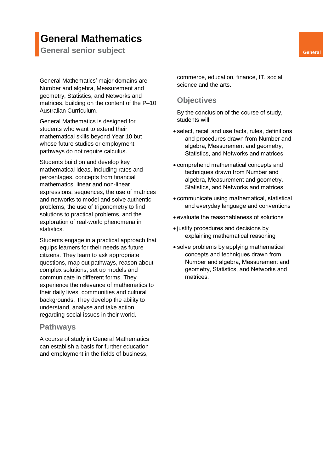# **General Mathematics**

**General senior subject General** 

General Mathematics' major domains are Number and algebra, Measurement and geometry, Statistics, and Networks and matrices, building on the content of the P–10 Australian Curriculum.

General Mathematics is designed for students who want to extend their mathematical skills beyond Year 10 but whose future studies or employment pathways do not require calculus.

Students build on and develop key mathematical ideas, including rates and percentages, concepts from financial mathematics, linear and non-linear expressions, sequences, the use of matrices and networks to model and solve authentic problems, the use of trigonometry to find solutions to practical problems, and the exploration of real-world phenomena in statistics.

Students engage in a practical approach that equips learners for their needs as future citizens. They learn to ask appropriate questions, map out pathways, reason about complex solutions, set up models and communicate in different forms. They experience the relevance of mathematics to their daily lives, communities and cultural backgrounds. They develop the ability to understand, analyse and take action regarding social issues in their world.

#### **Pathways**

A course of study in General Mathematics can establish a basis for further education and employment in the fields of business,

commerce, education, finance, IT, social science and the arts.

#### **Objectives**

- select, recall and use facts, rules, definitions and procedures drawn from Number and algebra, Measurement and geometry, Statistics, and Networks and matrices
- comprehend mathematical concepts and techniques drawn from Number and algebra, Measurement and geometry, Statistics, and Networks and matrices
- communicate using mathematical, statistical and everyday language and conventions
- evaluate the reasonableness of solutions
- justify procedures and decisions by explaining mathematical reasoning
- solve problems by applying mathematical concepts and techniques drawn from Number and algebra, Measurement and geometry, Statistics, and Networks and matrices.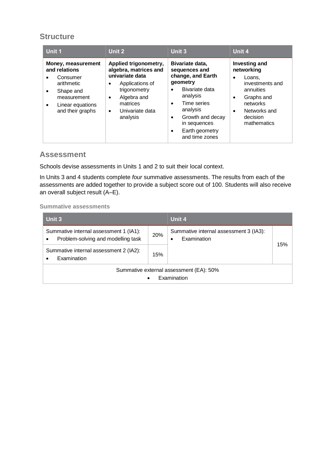| Unit 1                                                                                                                                 | Unit 2                                                                                                                                                                                                | Unit 3                                                                                                                                                                                                                                                 | Unit 4                                                                                                                                            |
|----------------------------------------------------------------------------------------------------------------------------------------|-------------------------------------------------------------------------------------------------------------------------------------------------------------------------------------------------------|--------------------------------------------------------------------------------------------------------------------------------------------------------------------------------------------------------------------------------------------------------|---------------------------------------------------------------------------------------------------------------------------------------------------|
| Money, measurement<br>and relations<br>Consumer<br>arithmetic<br>Shape and<br>٠<br>measurement<br>Linear equations<br>and their graphs | Applied trigonometry,<br>algebra, matrices and<br>univariate data<br>Applications of<br>$\bullet$<br>trigonometry<br>Algebra and<br>$\bullet$<br>matrices<br>Univariate data<br>$\bullet$<br>analysis | Bivariate data,<br>sequences and<br>change, and Earth<br>geometry<br>Bivariate data<br>$\bullet$<br>analysis<br>Time series<br>$\bullet$<br>analysis<br>Growth and decay<br>$\bullet$<br>in sequences<br>Earth geometry<br>$\bullet$<br>and time zones | <b>Investing and</b><br>networking<br>Loans,<br>investments and<br>annuities<br>Graphs and<br>networks<br>Networks and<br>decision<br>mathematics |

## **Assessment**

Schools devise assessments in Units 1 and 2 to suit their local context.

In Units 3 and 4 students complete *four* summative assessments. The results from each of the assessments are added together to provide a subject score out of 100. Students will also receive an overall subject result (A–E).

| Unit 3                                                                       |     | Unit 4                                                     |     |
|------------------------------------------------------------------------------|-----|------------------------------------------------------------|-----|
| Summative internal assessment 1 (IA1):<br>Problem-solving and modelling task | 20% | Summative internal assessment 3 (IA3):<br>Examination<br>٠ | 15% |
| Summative internal assessment 2 (IA2):<br>Examination                        | 15% |                                                            |     |
| Summative external assessment (EA): 50%<br>Examination<br>$\bullet$          |     |                                                            |     |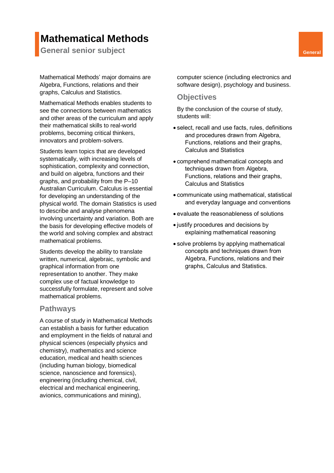# **Mathematical Methods**

**General senior subject General** 

Mathematical Methods' major domains are Algebra, Functions, relations and their graphs, Calculus and Statistics.

Mathematical Methods enables students to see the connections between mathematics and other areas of the curriculum and apply their mathematical skills to real-world problems, becoming critical thinkers, innovators and problem-solvers.

Students learn topics that are developed systematically, with increasing levels of sophistication, complexity and connection, and build on algebra, functions and their graphs, and probability from the P–10 Australian Curriculum. Calculus is essential for developing an understanding of the physical world. The domain Statistics is used to describe and analyse phenomena involving uncertainty and variation. Both are the basis for developing effective models of the world and solving complex and abstract mathematical problems.

Students develop the ability to translate written, numerical, algebraic, symbolic and graphical information from one representation to another. They make complex use of factual knowledge to successfully formulate, represent and solve mathematical problems.

#### **Pathways**

A course of study in Mathematical Methods can establish a basis for further education and employment in the fields of natural and physical sciences (especially physics and chemistry), mathematics and science education, medical and health sciences (including human biology, biomedical science, nanoscience and forensics), engineering (including chemical, civil, electrical and mechanical engineering, avionics, communications and mining),

computer science (including electronics and software design), psychology and business.

#### **Objectives**

- select, recall and use facts, rules, definitions and procedures drawn from Algebra, Functions, relations and their graphs, Calculus and Statistics
- comprehend mathematical concepts and techniques drawn from Algebra, Functions, relations and their graphs, Calculus and Statistics
- communicate using mathematical, statistical and everyday language and conventions
- evaluate the reasonableness of solutions
- justify procedures and decisions by explaining mathematical reasoning
- solve problems by applying mathematical concepts and techniques drawn from Algebra, Functions, relations and their graphs, Calculus and Statistics.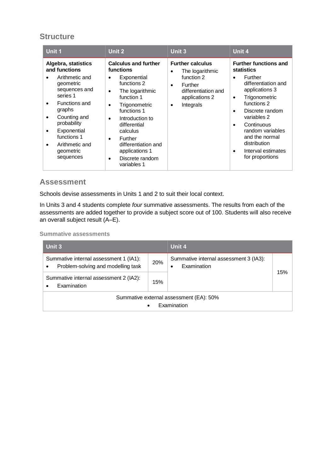| Unit 1                                                                                                                                                                                                                                    | Unit 2                                                                                                                                                                                                                                                                                                      | Unit 3                                                                                                                                                   | Unit 4                                                                                                                                                                                                                                                                                                                                 |
|-------------------------------------------------------------------------------------------------------------------------------------------------------------------------------------------------------------------------------------------|-------------------------------------------------------------------------------------------------------------------------------------------------------------------------------------------------------------------------------------------------------------------------------------------------------------|----------------------------------------------------------------------------------------------------------------------------------------------------------|----------------------------------------------------------------------------------------------------------------------------------------------------------------------------------------------------------------------------------------------------------------------------------------------------------------------------------------|
| Algebra, statistics<br>and functions<br>Arithmetic and<br>geometric<br>sequences and<br>series 1<br>Functions and<br>graphs<br>Counting and<br>probability<br>Exponential<br>functions 1<br>Arithmetic and<br>٠<br>geometric<br>sequences | <b>Calculus and further</b><br>functions<br>Exponential<br>٠<br>functions 2<br>The logarithmic<br>$\bullet$<br>function 1<br>Trigonometric<br>functions 1<br>Introduction to<br>$\bullet$<br>differential<br>calculus<br>Further<br>differentiation and<br>applications 1<br>Discrete random<br>variables 1 | <b>Further calculus</b><br>The logarithmic<br>$\bullet$<br>function 2<br>Further<br>$\bullet$<br>differentiation and<br>applications 2<br>Integrals<br>٠ | <b>Further functions and</b><br>statistics<br>Further<br>$\bullet$<br>differentiation and<br>applications 3<br>Trigonometric<br>$\bullet$<br>functions 2<br>Discrete random<br>$\bullet$<br>variables 2<br>Continuous<br>$\bullet$<br>random variables<br>and the normal<br>distribution<br>Interval estimates<br>٠<br>for proportions |

# **Assessment**

Schools devise assessments in Units 1 and 2 to suit their local context.

In Units 3 and 4 students complete *four* summative assessments. The results from each of the assessments are added together to provide a subject score out of 100. Students will also receive an overall subject result (A–E).

| Unit 3                                                                                    |     | Unit 4                                                |     |
|-------------------------------------------------------------------------------------------|-----|-------------------------------------------------------|-----|
| Summative internal assessment 1 (IA1):<br>Problem-solving and modelling task<br>$\bullet$ | 20% | Summative internal assessment 3 (IA3):<br>Examination | 15% |
| Summative internal assessment 2 (IA2):<br>Examination<br>$\bullet$                        | 15% |                                                       |     |
| Summative external assessment (EA): 50%<br>Examination<br>$\bullet$                       |     |                                                       |     |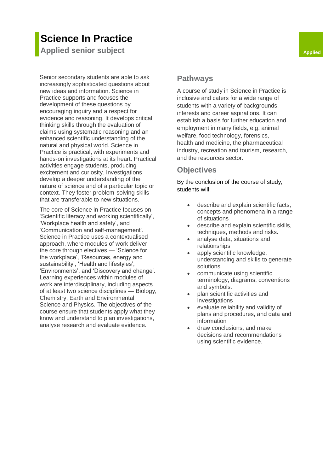# **Science In Practice**

**Applied** senior subject **Applied** 

Senior secondary students are able to ask increasingly sophisticated questions about new ideas and information. Science in Practice supports and focuses the development of these questions by encouraging inquiry and a respect for evidence and reasoning. It develops critical thinking skills through the evaluation of claims using systematic reasoning and an enhanced scientific understanding of the natural and physical world. Science in Practice is practical, with experiments and hands-on investigations at its heart. Practical activities engage students, producing excitement and curiosity. Investigations develop a deeper understanding of the nature of science and of a particular topic or context. They foster problem-solving skills that are transferable to new situations.

The core of Science in Practice focuses on 'Scientific literacy and working scientifically', 'Workplace health and safety', and 'Communication and self-management'. Science in Practice uses a contextualised approach, where modules of work deliver the core through electives — 'Science for the workplace', 'Resources, energy and sustainability', 'Health and lifestyles', 'Environments', and 'Discovery and change'. Learning experiences within modules of work are interdisciplinary, including aspects of at least two science disciplines — Biology, Chemistry, Earth and Environmental Science and Physics. The objectives of the course ensure that students apply what they know and understand to plan investigations, analyse research and evaluate evidence.

#### **Pathways**

A course of study in Science in Practice is inclusive and caters for a wide range of students with a variety of backgrounds, interests and career aspirations. It can establish a basis for further education and employment in many fields, e.g. animal welfare, food technology, forensics, health and medicine, the pharmaceutical industry, recreation and tourism, research, and the resources sector.

## **Objectives**

- describe and explain scientific facts, concepts and phenomena in a range of situations
- describe and explain scientific skills, techniques, methods and risks.
- analyse data, situations and relationships
- apply scientific knowledge, understanding and skills to generate solutions
- communicate using scientific terminology, diagrams, conventions and symbols.
- plan scientific activities and investigations
- evaluate reliability and validity of plans and procedures, and data and information
- draw conclusions, and make decisions and recommendations using scientific evidence.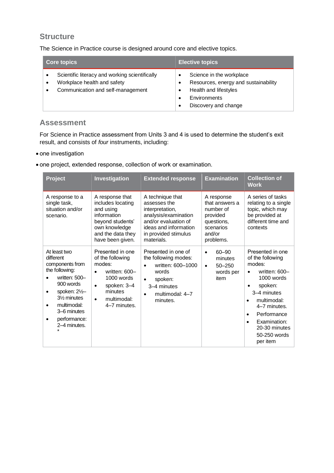The Science in Practice course is designed around core and elective topics.

| <b>Core topics</b>                                                                                                 | <b>Elective topics</b>                                                                                                            |
|--------------------------------------------------------------------------------------------------------------------|-----------------------------------------------------------------------------------------------------------------------------------|
| Scientific literacy and working scientifically<br>Workplace health and safety<br>Communication and self-management | Science in the workplace<br>Resources, energy and sustainability<br>Health and lifestyles<br>Environments<br>Discovery and change |

## **Assessment**

For Science in Practice assessment from Units 3 and 4 is used to determine the student's exit result, and consists of *four* instruments, including:

- one investigation
- one project, extended response, collection of work or examination.

| Project                                                                                                                                                                                                                    | Investigation                                                                                                                                                                   | <b>Extended response</b>                                                                                                                                                  | <b>Examination</b>                                                                                      | <b>Collection of</b><br><b>Work</b>                                                                                                                                                                                                                                    |
|----------------------------------------------------------------------------------------------------------------------------------------------------------------------------------------------------------------------------|---------------------------------------------------------------------------------------------------------------------------------------------------------------------------------|---------------------------------------------------------------------------------------------------------------------------------------------------------------------------|---------------------------------------------------------------------------------------------------------|------------------------------------------------------------------------------------------------------------------------------------------------------------------------------------------------------------------------------------------------------------------------|
| A response to a<br>single task,<br>situation and/or<br>scenario.                                                                                                                                                           | A response that<br>includes locating<br>and using<br>information<br>beyond students'<br>own knowledge<br>and the data they<br>have been given.                                  | A technique that<br>assesses the<br>interpretation,<br>analysis/examination<br>and/or evaluation of<br>ideas and information<br>in provided stimulus<br>materials.        | A response<br>that answers a<br>number of<br>provided<br>questions,<br>scenarios<br>and/or<br>problems. | A series of tasks<br>relating to a single<br>topic, which may<br>be provided at<br>different time and<br>contexts                                                                                                                                                      |
| At least two<br>different<br>components from<br>the following:<br>written: 500-<br>900 words<br>spoken: $2\frac{1}{2}$<br>٠<br>31/ <sub>2</sub> minutes<br>multimodal:<br>٠<br>3–6 minutes<br>performance:<br>2-4 minutes. | Presented in one<br>of the following<br>modes:<br>written: 600-<br>$\bullet$<br>$1000$ words<br>spoken: 3-4<br>$\bullet$<br>minutes<br>multimodal:<br>$\bullet$<br>4-7 minutes. | Presented in one of<br>the following modes:<br>written: 600-1000<br>$\bullet$<br>words<br>spoken:<br>$\bullet$<br>3-4 minutes<br>multimodal: 4-7<br>$\bullet$<br>minutes. | $60 - 90$<br>$\bullet$<br>minutes<br>$50 - 250$<br>$\bullet$<br>words per<br>item                       | Presented in one<br>of the following<br>modes:<br>written: 600-<br>$\bullet$<br>1000 words<br>spoken:<br>3–4 minutes<br>multimodal:<br>$\bullet$<br>4-7 minutes.<br>Performance<br>$\bullet$<br>Examination:<br>$\bullet$<br>20-30 minutes<br>50-250 words<br>per item |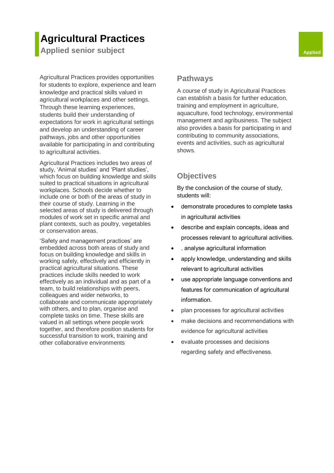# **Agricultural Practices**

**Applied senior subject Applied Applied Applied** 

Agricultural Practices provides opportunities for students to explore, experience and learn knowledge and practical skills valued in agricultural workplaces and other settings. Through these learning experiences, students build their understanding of expectations for work in agricultural settings and develop an understanding of career pathways, jobs and other opportunities available for participating in and contributing to agricultural activities.

Agricultural Practices includes two areas of study, 'Animal studies' and 'Plant studies', which focus on building knowledge and skills suited to practical situations in agricultural workplaces. Schools decide whether to include one or both of the areas of study in their course of study. Learning in the selected areas of study is delivered through modules of work set in specific animal and plant contexts, such as poultry, vegetables or conservation areas.

'Safety and management practices' are embedded across both areas of study and focus on building knowledge and skills in working safely, effectively and efficiently in practical agricultural situations. These practices include skills needed to work effectively as an individual and as part of a team, to build relationships with peers, colleagues and wider networks, to collaborate and communicate appropriately with others, and to plan, organise and complete tasks on time. These skills are valued in all settings where people work together, and therefore position students for successful transition to work, training and other collaborative environments

#### **Pathways**

A course of study in Agricultural Practices can establish a basis for further education, training and employment in agriculture, aquaculture, food technology, environmental management and agribusiness. The subject also provides a basis for participating in and contributing to community associations, events and activities, such as agricultural shows.

## **Objectives**

- demonstrate procedures to complete tasks in agricultural activities
- describe and explain concepts, ideas and processes relevant to agricultural activities.
- . analyse agricultural information
- apply knowledge, understanding and skills relevant to agricultural activities
- use appropriate language conventions and features for communication of agricultural information.
- plan processes for agricultural activities
- make decisions and recommendations with evidence for agricultural activities
- evaluate processes and decisions regarding safety and effectiveness.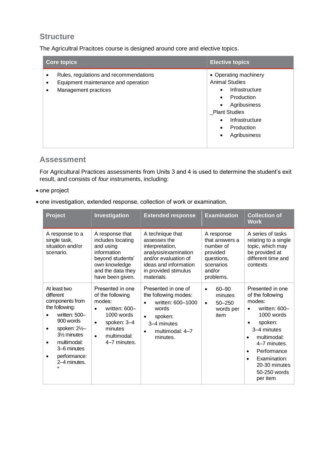The Agricultral Pracitces course is designed around core and elective topics.

| <b>Core topics</b>                                                                                    | <b>Elective topics</b>                                                                                                                                                                                                                       |
|-------------------------------------------------------------------------------------------------------|----------------------------------------------------------------------------------------------------------------------------------------------------------------------------------------------------------------------------------------------|
| Rules, regulations and recommendations<br>Equipment maintenance and operation<br>Management practices | • Operating machinery<br><b>Animal Studies</b><br>Infrastructure<br>$\bullet$<br>Production<br>$\bullet$<br>Agribusiness<br>$\bullet$<br><b>Plant Studies</b><br>Infrastructure<br>$\bullet$<br>Production<br>$\bullet$<br>Agribusiness<br>٠ |

#### **Assessment**

For Agricultural Practices assessments from Units 3 and 4 is used to determine the student's exit result, and consists of *four* instruments, including:

- one project
- one investigation, extended response, collection of work or examination.

| Project                                                                                                                                                                                                 | Investigation                                                                                                                                                                 | <b>Extended response</b>                                                                                                                                           | <b>Examination</b>                                                                                      | <b>Collection of</b><br><b>Work</b>                                                                                                                                                                                                                       |
|---------------------------------------------------------------------------------------------------------------------------------------------------------------------------------------------------------|-------------------------------------------------------------------------------------------------------------------------------------------------------------------------------|--------------------------------------------------------------------------------------------------------------------------------------------------------------------|---------------------------------------------------------------------------------------------------------|-----------------------------------------------------------------------------------------------------------------------------------------------------------------------------------------------------------------------------------------------------------|
| A response to a<br>single task,<br>situation and/or<br>scenario.                                                                                                                                        | A response that<br>includes locating<br>and using<br>information<br>beyond students'<br>own knowledge<br>and the data they<br>have been given.                                | A technique that<br>assesses the<br>interpretation,<br>analysis/examination<br>and/or evaluation of<br>ideas and information<br>in provided stimulus<br>materials. | A response<br>that answers a<br>number of<br>provided<br>questions,<br>scenarios<br>and/or<br>problems. | A series of tasks<br>relating to a single<br>topic, which may<br>be provided at<br>different time and<br>contexts                                                                                                                                         |
| At least two<br>different<br>components from<br>the following:<br>written: 500-<br>900 words<br>spoken: 21/2-<br>31/ <sub>2</sub> minutes<br>multimodal:<br>3–6 minutes<br>performance:<br>2–4 minutes. | Presented in one<br>of the following<br>modes:<br>written: 600-<br>$\bullet$<br>1000 words<br>spoken: 3-4<br>$\bullet$<br>minutes<br>multimodal:<br>$\bullet$<br>4-7 minutes. | Presented in one of<br>the following modes:<br>written: 600-1000<br>words<br>spoken:<br>$\bullet$<br>3–4 minutes<br>multimodal: 4-7<br>٠<br>minutes.               | $60 - 90$<br>$\bullet$<br>minutes<br>$50 - 250$<br>$\bullet$<br>words per<br>item                       | Presented in one<br>of the following<br>modes:<br>written: 600-<br>1000 words<br>spoken:<br>3–4 minutes<br>multimodal:<br>$\bullet$<br>4-7 minutes.<br>Performance<br>$\bullet$<br>Examination:<br>$\bullet$<br>20-30 minutes<br>50-250 words<br>per item |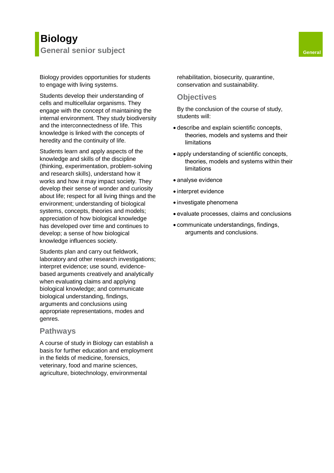# **Biology General senior subject General**

Students develop their understanding of cells and multicellular organisms. They engage with the concept of maintaining the internal environment. They study biodiversity and the interconnectedness of life. This knowledge is linked with the concepts of heredity and the continuity of life.

Students learn and apply aspects of the knowledge and skills of the discipline (thinking, experimentation, problem-solving and research skills), understand how it works and how it may impact society. They develop their sense of wonder and curiosity about life; respect for all living things and the environment; understanding of biological systems, concepts, theories and models; appreciation of how biological knowledge has developed over time and continues to develop; a sense of how biological knowledge influences society.

Students plan and carry out fieldwork, laboratory and other research investigations; interpret evidence; use sound, evidencebased arguments creatively and analytically when evaluating claims and applying biological knowledge; and communicate biological understanding, findings, arguments and conclusions using appropriate representations, modes and genres.

#### **Pathways**

A course of study in Biology can establish a basis for further education and employment in the fields of medicine, forensics, veterinary, food and marine sciences, agriculture, biotechnology, environmental

rehabilitation, biosecurity, quarantine, conservation and sustainability.

#### **Objectives**

- describe and explain scientific concepts, theories, models and systems and their limitations
- apply understanding of scientific concepts, theories, models and systems within their limitations
- analyse evidence
- interpret evidence
- investigate phenomena
- evaluate processes, claims and conclusions
- communicate understandings, findings, arguments and conclusions.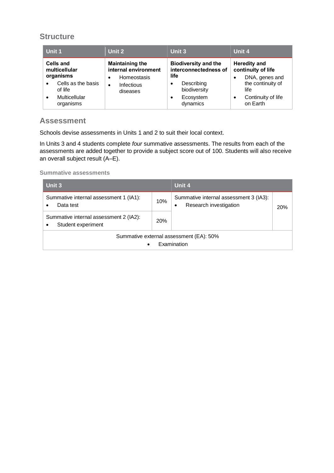| Unit 1                                                                                                                           | Unit 2                                                                                               | Unit 3                                                                                                                                | Unit 4                                                                                                                                       |
|----------------------------------------------------------------------------------------------------------------------------------|------------------------------------------------------------------------------------------------------|---------------------------------------------------------------------------------------------------------------------------------------|----------------------------------------------------------------------------------------------------------------------------------------------|
| Cells and<br>multicellular<br>organisms<br>Cells as the basis<br>$\bullet$<br>of life<br>Multicellular<br>$\bullet$<br>organisms | <b>Maintaining the</b><br>internal environment<br>Homeostasis<br>Infectious<br>$\bullet$<br>diseases | <b>Biodiversity and the</b><br>interconnectedness of<br>life<br>Describing<br>٠<br>biodiversity<br>Ecosystem<br>$\bullet$<br>dynamics | <b>Heredity and</b><br>continuity of life<br>DNA, genes and<br>٠<br>the continuity of<br>life<br>Continuity of life<br>$\bullet$<br>on Earth |

# **Assessment**

Schools devise assessments in Units 1 and 2 to suit their local context.

In Units 3 and 4 students complete *four* summative assessments. The results from each of the assessments are added together to provide a subject score out of 100. Students will also receive an overall subject result (A–E).

| Unit 3                                                              |     | Unit 4                                                                |            |
|---------------------------------------------------------------------|-----|-----------------------------------------------------------------------|------------|
| Summative internal assessment 1 (IA1):<br>Data test<br>$\bullet$    | 10% | Summative internal assessment 3 (IA3):<br>Research investigation<br>٠ | <b>20%</b> |
| Summative internal assessment 2 (IA2):<br>Student experiment        |     |                                                                       |            |
| Summative external assessment (EA): 50%<br>Examination<br>$\bullet$ |     |                                                                       |            |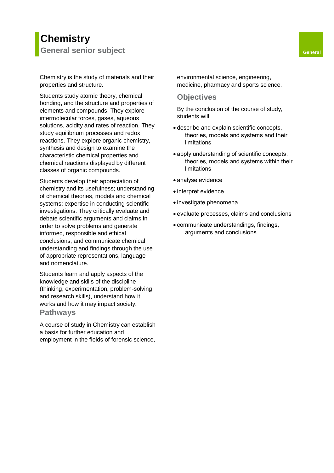# **Chemistry General senior subject General**

Chemistry is the study of materials and their properties and structure.

Students study atomic theory, chemical bonding, and the structure and properties of elements and compounds. They explore intermolecular forces, gases, aqueous solutions, acidity and rates of reaction. They study equilibrium processes and redox reactions. They explore organic chemistry, synthesis and design to examine the characteristic chemical properties and chemical reactions displayed by different classes of organic compounds.

Students develop their appreciation of chemistry and its usefulness; understanding of chemical theories, models and chemical systems; expertise in conducting scientific investigations. They critically evaluate and debate scientific arguments and claims in order to solve problems and generate informed, responsible and ethical conclusions, and communicate chemical understanding and findings through the use of appropriate representations, language and nomenclature.

Students learn and apply aspects of the knowledge and skills of the discipline (thinking, experimentation, problem-solving and research skills), understand how it works and how it may impact society.

#### **Pathways**

A course of study in Chemistry can establish a basis for further education and employment in the fields of forensic science,

environmental science, engineering, medicine, pharmacy and sports science.

#### **Objectives**

- describe and explain scientific concepts, theories, models and systems and their limitations
- apply understanding of scientific concepts, theories, models and systems within their limitations
- analyse evidence
- interpret evidence
- investigate phenomena
- evaluate processes, claims and conclusions
- communicate understandings, findings, arguments and conclusions.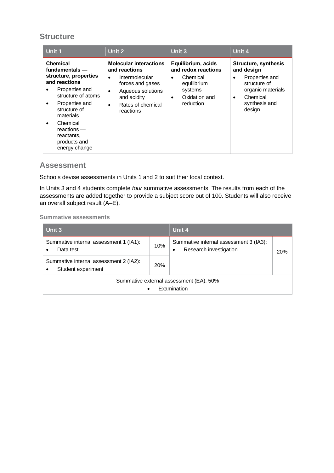| Unit 1                                                                                                                                                                                                                                            | Unit 2                                                                                                                                                                                    | <b>Unit 3</b>                                                                                                                           | Unit 4                                                                                                                                                    |
|---------------------------------------------------------------------------------------------------------------------------------------------------------------------------------------------------------------------------------------------------|-------------------------------------------------------------------------------------------------------------------------------------------------------------------------------------------|-----------------------------------------------------------------------------------------------------------------------------------------|-----------------------------------------------------------------------------------------------------------------------------------------------------------|
| <b>Chemical</b><br>fundamentals -<br>structure, properties<br>and reactions<br>Properties and<br>structure of atoms<br>Properties and<br>٠<br>structure of<br>materials<br>Chemical<br>reactions –<br>reactants,<br>products and<br>energy change | <b>Molecular interactions</b><br>and reactions<br>Intermolecular<br>$\bullet$<br>forces and gases<br>Aqueous solutions<br>$\bullet$<br>and acidity<br>Rates of chemical<br>٠<br>reactions | Equilibrium, acids<br>and redox reactions<br>Chemical<br>$\bullet$<br>equilibrium<br>systems<br>Oxidation and<br>$\bullet$<br>reduction | <b>Structure, synthesis</b><br>and design<br>Properties and<br>٠<br>structure of<br>organic materials<br>Chemical<br>$\bullet$<br>synthesis and<br>design |

#### **Assessment**

Schools devise assessments in Units 1 and 2 to suit their local context.

In Units 3 and 4 students complete *four* summative assessments. The results from each of the assessments are added together to provide a subject score out of 100. Students will also receive an overall subject result (A–E).

| Unit 3                                                                    |     | Unit 4                                                                |            |
|---------------------------------------------------------------------------|-----|-----------------------------------------------------------------------|------------|
| Summative internal assessment 1 (IA1):<br>Data test<br>$\bullet$          | 10% | Summative internal assessment 3 (IA3):<br>Research investigation<br>٠ | <b>20%</b> |
| Summative internal assessment 2 (IA2):<br>Student experiment<br>$\bullet$ |     |                                                                       |            |
| Summative external assessment (EA): 50%<br>Examination<br>$\bullet$       |     |                                                                       |            |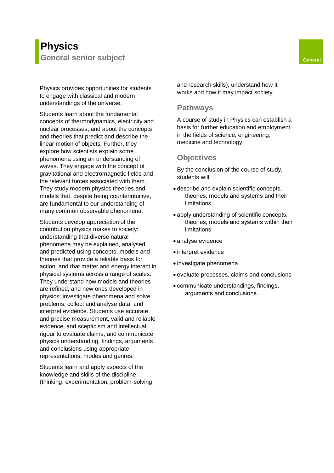Physics provides opportunities for students to engage with classical and modern understandings of the universe.

Students learn about the fundamental concepts of thermodynamics, electricity and nuclear processes; and about the concepts and theories that predict and describe the linear motion of objects. Further, they explore how scientists explain some phenomena using an understanding of waves. They engage with the concept of gravitational and electromagnetic fields and the relevant forces associated with them. They study modern physics theories and models that, despite being counterintuitive, are fundamental to our understanding of many common observable phenomena.

Students develop appreciation of the contribution physics makes to society: understanding that diverse natural phenomena may be explained, analysed and predicted using concepts, models and theories that provide a reliable basis for action; and that matter and energy interact in physical systems across a range of scales. They understand how models and theories are refined, and new ones developed in physics; investigate phenomena and solve problems; collect and analyse data; and interpret evidence. Students use accurate and precise measurement, valid and reliable evidence, and scepticism and intellectual rigour to evaluate claims; and communicate physics understanding, findings, arguments and conclusions using appropriate representations, modes and genres.

Students learn and apply aspects of the knowledge and skills of the discipline (thinking, experimentation, problem-solving and research skills), understand how it works and how it may impact society.

#### **Pathways**

A course of study in Physics can establish a basis for further education and employment in the fields of science, engineering, medicine and technology.

#### **Objectives**

- describe and explain scientific concepts, theories, models and systems and their limitations
- apply understanding of scientific concepts, theories, models and systems within their limitations
- analyse evidence
- interpret evidence
- investigate phenomena
- evaluate processes, claims and conclusions
- communicate understandings, findings, arguments and conclusions.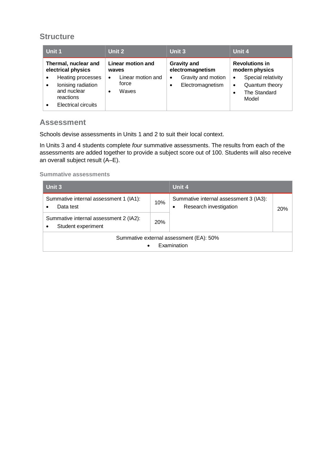| Unit 1                                                                                                                                   | Unit 2                                                        | <b>Unit 3</b>                                            | Unit 4                                                                                               |
|------------------------------------------------------------------------------------------------------------------------------------------|---------------------------------------------------------------|----------------------------------------------------------|------------------------------------------------------------------------------------------------------|
| Thermal, nuclear and<br>electrical physics                                                                                               | Linear motion and<br>waves                                    | <b>Gravity and</b><br>electromagnetism                   | <b>Revolutions in</b><br>modern physics                                                              |
| Heating processes<br>$\bullet$<br>lonising radiation<br>$\bullet$<br>and nuclear<br>reactions<br><b>Electrical circuits</b><br>$\bullet$ | Linear motion and<br>$\bullet$<br>force<br>Waves<br>$\bullet$ | Gravity and motion<br>$\bullet$<br>Electromagnetism<br>٠ | Special relativity<br>$\bullet$<br>Quantum theory<br>$\bullet$<br>The Standard<br>$\bullet$<br>Model |

## **Assessment**

Schools devise assessments in Units 1 and 2 to suit their local context.

In Units 3 and 4 students complete *four* summative assessments. The results from each of the assessments are added together to provide a subject score out of 100. Students will also receive an overall subject result (A–E).

| Unit 3                                                                           |     | Unit 4                                                                |     |
|----------------------------------------------------------------------------------|-----|-----------------------------------------------------------------------|-----|
| Summative internal assessment 1 (IA1):<br>Data test                              | 10% | Summative internal assessment 3 (IA3):<br>Research investigation<br>٠ | 20% |
| Summative internal assessment 2 (IA2):<br>20%<br>Student experiment<br>$\bullet$ |     |                                                                       |     |
| Summative external assessment (EA): 50%<br>Examination<br>$\bullet$              |     |                                                                       |     |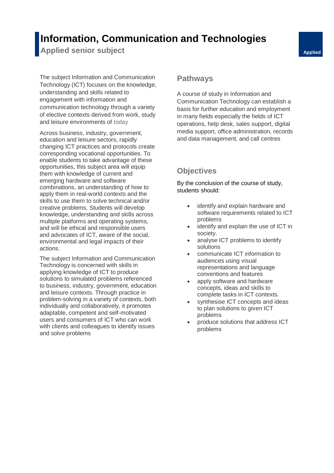# **Information, Communication and Technologies**

**Applied senior subject Applied Applied Applied** 

The subject Information and Communication Technology (ICT) focuses on the knowledge, understanding and skills related to engagement with information and communication technology through a variety of elective contexts derived from work, study and leisure environments of today

Across business, industry, government, education and leisure sectors, rapidly changing ICT practices and protocols create corresponding vocational opportunities. To enable students to take advantage of these opportunities, this subject area will equip them with knowledge of current and emerging hardware and software combinations, an understanding of how to apply them in real-world contexts and the skills to use them to solve technical and/or creative problems. Students will develop knowledge, understanding and skills across multiple platforms and operating systems, and will be ethical and responsible users and advocates of ICT, aware of the social, environmental and legal impacts of their actions.

The subject Information and Communication Technology is concerned with skills in applying knowledge of ICT to produce solutions to simulated problems referenced to business, industry, government, education and leisure contexts. Through practice in problem-solving in a variety of contexts, both individually and collaboratively, it promotes adaptable, competent and self-motivated users and consumers of ICT who can work with clients and colleagues to identify issues and solve problems

#### **Pathways**

A course of study in Information and Communication Technology can establish a basis for further education and employment in many fields especially the fields of ICT operations, help desk, sales support, digital media support, office administration, records and data management, and call centres

# **Objectives**

- identify and explain hardware and software requirements related to ICT problems
- identify and explain the use of ICT in society.
- analyse ICT problems to identify solutions
- communicate ICT information to audiences using visual representations and language conventions and features
- apply software and hardware concepts, ideas and skills to complete tasks in ICT contexts.
- synthesise ICT concepts and ideas to plan solutions to given ICT problems
- produce solutions that address ICT problems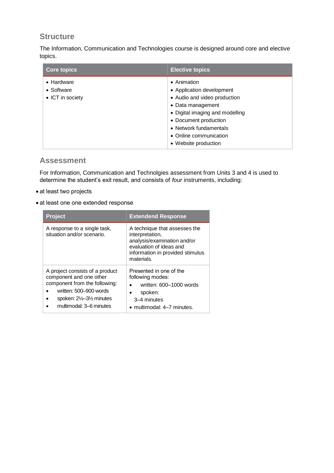The Information, Communication and Technologies course is designed around core and elective topics.

| <b>Core topics</b>                                           | <b>Elective topics</b>                                                                                                                                                                                                                |
|--------------------------------------------------------------|---------------------------------------------------------------------------------------------------------------------------------------------------------------------------------------------------------------------------------------|
| $\bullet$ Hardware<br>$\bullet$ Software<br>• ICT in society | • Animation<br>• Application development<br>• Audio and video production<br>• Data management<br>• Digital imaging and modelling<br>• Document production<br>• Network fundamentals<br>• Online communication<br>• Website production |

#### **Assessment**

For Information, Communication and Technolgies assessment from Units 3 and 4 is used to determine the student's exit result, and consists of *four* instruments, including:

- at least two projects
- at least one one extended response

| <b>Project</b>                                                                                                                                                                | <b>Extendend Response</b>                                                                                                                                    |
|-------------------------------------------------------------------------------------------------------------------------------------------------------------------------------|--------------------------------------------------------------------------------------------------------------------------------------------------------------|
| A response to a single task,<br>situation and/or scenario.                                                                                                                    | A technique that assesses the<br>interpretation,<br>analysis/examination and/or<br>evaluation of ideas and<br>information in provided stimulus<br>materials. |
| A project consists of a product<br>component and one other<br>component from the following:<br>written: 500-900 words<br>spoken: 21/2-31/2 minutes<br>multimodal: 3–6 minutes | Presented in one of the<br>following modes:<br>written: 600-1000 words<br>$\bullet$<br>spoken:<br>٠<br>3-4 minutes<br>• multimodal: 4-7 minutes.             |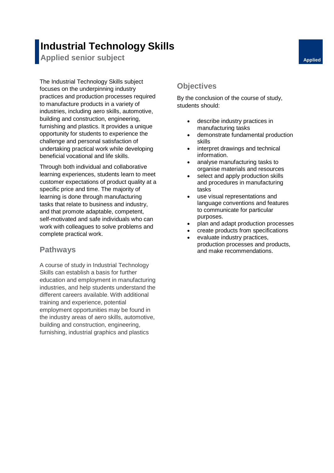# **Industrial Technology Skills**

**Applied senior subject Applied Applied Applied** 

The Industrial Technology Skills subject focuses on the underpinning industry practices and production processes required to manufacture products in a variety of industries, including aero skills, automotive, building and construction, engineering, furnishing and plastics. It provides a unique opportunity for students to experience the challenge and personal satisfaction of undertaking practical work while developing beneficial vocational and life skills.

Through both individual and collaborative learning experiences, students learn to meet customer expectations of product quality at a specific price and time. The majority of learning is done through manufacturing tasks that relate to business and industry, and that promote adaptable, competent, self-motivated and safe individuals who can work with colleagues to solve problems and complete practical work.

#### **Pathways**

A course of study in Industrial Technology Skills can establish a basis for further education and employment in manufacturing industries, and help students understand the different careers available. With additional training and experience, potential employment opportunities may be found in the industry areas of aero skills, automotive, building and construction, engineering, furnishing, industrial graphics and plastics

# **Objectives**

- describe industry practices in manufacturing tasks
- demonstrate fundamental production skills
- interpret drawings and technical information.
- analyse manufacturing tasks to organise materials and resources
- select and apply production skills and procedures in manufacturing tasks
- use visual representations and language conventions and features to communicate for particular purposes.
- plan and adapt production processes
- create products from specifications
- evaluate industry practices. production processes and products, and make recommendations.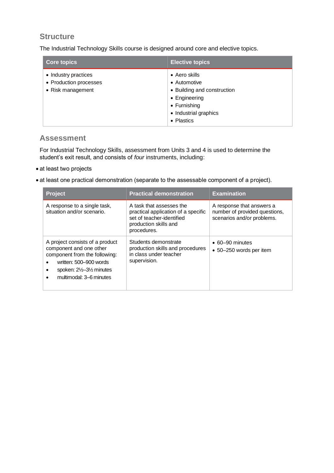The Industrial Technology Skills course is designed around core and elective topics.

| <b>Core topics</b>                                                  | <b>Elective topics</b>                                                                                                                       |
|---------------------------------------------------------------------|----------------------------------------------------------------------------------------------------------------------------------------------|
| • Industry practices<br>• Production processes<br>• Risk management | $\bullet$ Aero skills<br>• Automotive<br>• Building and construction<br>• Engineering<br>• Furnishing<br>• Industrial graphics<br>• Plastics |

#### **Assessment**

For Industrial Technology Skills, assessment from Units 3 and 4 is used to determine the student's exit result, and consists of *four* instruments, including:

#### • at least two projects

• at least one practical demonstration (separate to the assessable component of a project).

| <b>Project</b>                                                                                                                                                                                      | <b>Practical demonstration</b>                                                                                                       | <b>Examination</b>                                                                       |
|-----------------------------------------------------------------------------------------------------------------------------------------------------------------------------------------------------|--------------------------------------------------------------------------------------------------------------------------------------|------------------------------------------------------------------------------------------|
| A response to a single task,<br>situation and/or scenario.                                                                                                                                          | A task that assesses the<br>practical application of a specific<br>set of teacher-identified<br>production skills and<br>procedures. | A response that answers a<br>number of provided questions,<br>scenarios and/or problems. |
| A project consists of a product<br>component and one other<br>component from the following:<br>written: 500-900 words<br>spoken: $2\frac{1}{2}$ -3 $\frac{1}{2}$ minutes<br>multimodal: 3-6 minutes | Students demonstrate<br>production skills and procedures<br>in class under teacher<br>supervision.                                   | $\bullet$ 60–90 minutes<br>• 50–250 words per item                                       |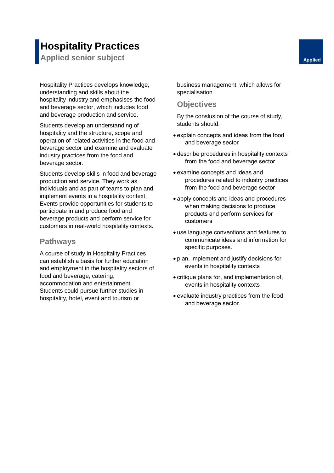# **Hospitality Practices**

**Applied senior subject Applied Applied Applied** 

Hospitality Practices develops knowledge, understanding and skills about the hospitality industry and emphasises the food and beverage sector, which includes food and beverage production and service.

Students develop an understanding of hospitality and the structure, scope and operation of related activities in the food and beverage sector and examine and evaluate industry practices from the food and beverage sector.

Students develop skills in food and beverage production and service. They work as individuals and as part of teams to plan and implement events in a hospitality context. Events provide opportunities for students to participate in and produce food and beverage products and perform service for customers in real-world hospitality contexts.

## **Pathways**

A course of study in Hospitality Practices can establish a basis for further education and employment in the hospitality sectors of food and beverage, catering, accommodation and entertainment. Students could pursue further studies in hospitality, hotel, event and tourism or

business management, which allows for specialisation.

### **Objectives**

- explain concepts and ideas from the food and beverage sector
- describe procedures in hospitality contexts from the food and beverage sector
- examine concepts and ideas and procedures related to industry practices from the food and beverage sector
- apply concepts and ideas and procedures when making decisions to produce products and perform services for customers
- use language conventions and features to communicate ideas and information for specific purposes.
- plan, implement and justify decisions for events in hospitality contexts
- critique plans for, and implementation of, events in hospitality contexts
- evaluate industry practices from the food and beverage sector.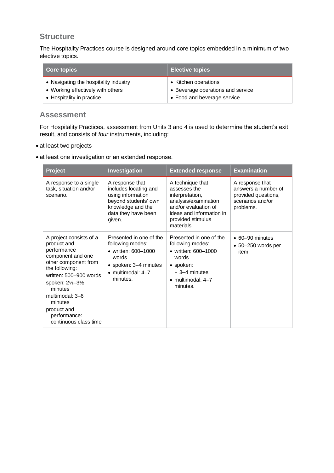The Hospitality Practices course is designed around core topics embedded in a minimum of two elective topics.

| <b>Core topics</b>                    | <b>Elective topics</b>            |
|---------------------------------------|-----------------------------------|
| • Navigating the hospitality industry | • Kitchen operations              |
| • Working effectively with others     | • Beverage operations and service |
| • Hospitality in practice             | • Food and beverage service       |

#### **Assessment**

For Hospitality Practices, assessment from Units 3 and 4 is used to determine the student's exit result, and consists of *four* instruments, including:

- at least two projects
- at least one investigation or an extended response.

| <b>Project</b>                                                                                                                                                                                                                                                       | Investigation                                                                                                                                 | <b>Extended response</b>                                                                                                                                           | <b>Examination</b>                                                                             |
|----------------------------------------------------------------------------------------------------------------------------------------------------------------------------------------------------------------------------------------------------------------------|-----------------------------------------------------------------------------------------------------------------------------------------------|--------------------------------------------------------------------------------------------------------------------------------------------------------------------|------------------------------------------------------------------------------------------------|
| A response to a single<br>task, situation and/or<br>scenario.                                                                                                                                                                                                        | A response that<br>includes locating and<br>using information<br>beyond students' own<br>knowledge and the<br>data they have been<br>given.   | A technique that<br>assesses the<br>interpretation,<br>analysis/examination<br>and/or evaluation of<br>ideas and information in<br>provided stimulus<br>materials. | A response that<br>answers a number of<br>provided questions,<br>scenarios and/or<br>problems. |
| A project consists of a<br>product and<br>performance<br>component and one<br>other component from<br>the following:<br>written: 500-900 words<br>spoken: 21/2-31/2<br>minutes<br>multimodal: 3-6<br>minutes<br>product and<br>performance:<br>continuous class time | Presented in one of the<br>following modes:<br>• written: 600-1000<br>words<br>• spoken: 3-4 minutes<br>$\bullet$ multimodal: 4-7<br>minutes. | Presented in one of the<br>following modes:<br>• written: 600-1000<br>words<br>· spoken:<br>$-3-4$ minutes<br>$\bullet$ multimodal: 4-7<br>minutes.                | $\bullet$ 60-90 minutes<br>$\bullet$ 50-250 words per<br>item                                  |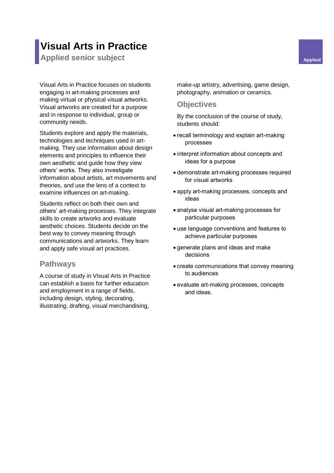# **Visual Arts in Practice**

**Applied senior subject Applied Applied Applied** 

Visual Arts in Practice focuses on students engaging in art-making processes and making virtual or physical visual artworks. Visual artworks are created for a purpose and in response to individual, group or community needs.

Students explore and apply the materials, technologies and techniques used in artmaking. They use information about design elements and principles to influence their own aesthetic and guide how they view others' works. They also investigate information about artists, art movements and theories, and use the lens of a context to examine influences on art-making.

Students reflect on both their own and others' art-making processes. They integrate skills to create artworks and evaluate aesthetic choices. Students decide on the best way to convey meaning through communications and artworks. They learn and apply safe visual art practices.

#### **Pathways**

A course of study in Visual Arts in Practice can establish a basis for further education and employment in a range of fields, including design, styling, decorating, illustrating, drafting, visual merchandising,

make-up artistry, advertising, game design, photography, animation or ceramics.

#### **Objectives**

- recall terminology and explain art-making processes
- interpret information about concepts and ideas for a purpose
- demonstrate art-making processes required for visual artworks
- apply art-making processes, concepts and ideas
- analyse visual art-making processes for particular purposes
- use language conventions and features to achieve particular purposes
- generate plans and ideas and make decisions
- create communications that convey meaning to audiences
- evaluate art-making processes, concepts and ideas.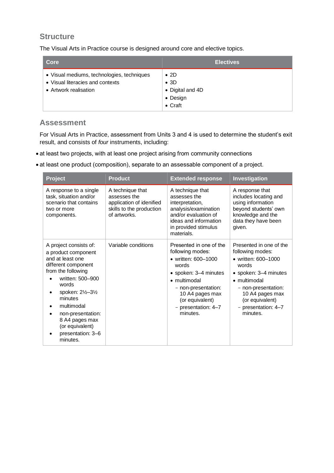The Visual Arts in Practice course is designed around core and elective topics.

| Core                                                                                                    | <b>Electives</b>                                                                |
|---------------------------------------------------------------------------------------------------------|---------------------------------------------------------------------------------|
| • Visual mediums, technologies, techniques<br>• Visual literacies and contexts<br>• Artwork realisation | $\bullet$ 2D<br>$\bullet$ 3D<br>• Digital and 4D<br>• Design<br>$\bullet$ Craft |

## **Assessment**

For Visual Arts in Practice, assessment from Units 3 and 4 is used to determine the student's exit result, and consists of *four* instruments, including:

- at least two projects, with at least one project arising from community connections
- at least one product (composition), separate to an assessable component of a project.

| <b>Project</b>                                                                                                                                                                                                                                                                   | <b>Product</b>                                                                                           | <b>Extended response</b>                                                                                                                                                                                             | Investigation                                                                                                                                                                                                          |
|----------------------------------------------------------------------------------------------------------------------------------------------------------------------------------------------------------------------------------------------------------------------------------|----------------------------------------------------------------------------------------------------------|----------------------------------------------------------------------------------------------------------------------------------------------------------------------------------------------------------------------|------------------------------------------------------------------------------------------------------------------------------------------------------------------------------------------------------------------------|
| A response to a single<br>task, situation and/or<br>scenario that contains<br>two or more<br>components.                                                                                                                                                                         | A technique that<br>assesses the<br>application of idenified<br>skills to the production<br>of artworks. | A technique that<br>assesses the<br>interpretation,<br>analysis/examination<br>and/or evaluation of<br>ideas and information<br>in provided stimulus<br>materials.                                                   | A response that<br>includes locating and<br>using information<br>beyond students' own<br>knowledge and the<br>data they have been<br>given.                                                                            |
| A project consists of:<br>a product component<br>and at least one<br>different component<br>from the following<br>written: 500-900<br>words<br>spoken: 2½–3½<br>minutes<br>multimodal<br>non-presentation:<br>8 A4 pages max<br>(or equivalent)<br>presentation: 3-6<br>minutes. | Variable conditions                                                                                      | Presented in one of the<br>following modes:<br>• written: 600-1000<br>words<br>• spoken: 3-4 minutes<br>• multimodal<br>- non-presentation:<br>10 A4 pages max<br>(or equivalent)<br>- presentation: 4-7<br>minutes. | Presented in one of the<br>following modes:<br>• written: 600-1000<br>words<br>• spoken: 3-4 minutes<br>• multimodal<br>- non-presentation:<br>10 A4 pages max<br>(or equivalent)<br>- presentation: $4-7$<br>minutes. |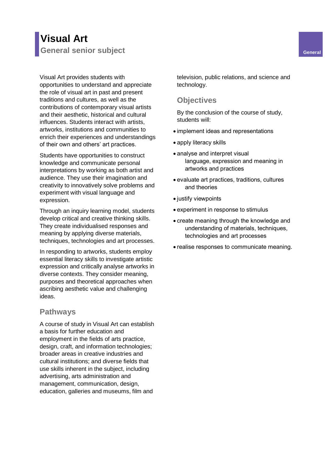# **Visual Art General senior subject General**

Visual Art provides students with opportunities to understand and appreciate the role of visual art in past and present traditions and cultures, as well as the contributions of contemporary visual artists and their aesthetic, historical and cultural influences. Students interact with artists, artworks, institutions and communities to enrich their experiences and understandings of their own and others' art practices.

Students have opportunities to construct knowledge and communicate personal interpretations by working as both artist and audience. They use their imagination and creativity to innovatively solve problems and experiment with visual language and expression.

Through an inquiry learning model, students develop critical and creative thinking skills. They create individualised responses and meaning by applying diverse materials, techniques, technologies and art processes.

In responding to artworks, students employ essential literacy skills to investigate artistic expression and critically analyse artworks in diverse contexts. They consider meaning, purposes and theoretical approaches when ascribing aesthetic value and challenging ideas.

#### **Pathways**

A course of study in Visual Art can establish a basis for further education and employment in the fields of arts practice, design, craft, and information technologies; broader areas in creative industries and cultural institutions; and diverse fields that use skills inherent in the subject, including advertising, arts administration and management, communication, design, education, galleries and museums, film and

television, public relations, and science and technology.

#### **Objectives**

- implement ideas and representations
- apply literacy skills
- analyse and interpret visual language, expression and meaning in artworks and practices
- evaluate art practices, traditions, cultures and theories
- justify viewpoints
- experiment in response to stimulus
- create meaning through the knowledge and understanding of materials, techniques, technologies and art processes
- realise responses to communicate meaning.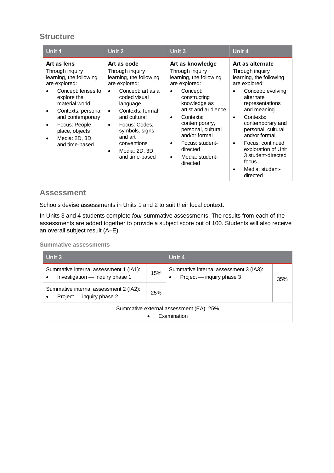| Unit 1                                                                                                                                                                                                                                              | <b>Unit 2</b>                                                                                                                                                                                                                                                                              | <b>Unit 3</b>                                                                                                                                                                                                                                                                                                                     | Unit 4                                                                                                                                                                                                                                                                                                                                                                      |
|-----------------------------------------------------------------------------------------------------------------------------------------------------------------------------------------------------------------------------------------------------|--------------------------------------------------------------------------------------------------------------------------------------------------------------------------------------------------------------------------------------------------------------------------------------------|-----------------------------------------------------------------------------------------------------------------------------------------------------------------------------------------------------------------------------------------------------------------------------------------------------------------------------------|-----------------------------------------------------------------------------------------------------------------------------------------------------------------------------------------------------------------------------------------------------------------------------------------------------------------------------------------------------------------------------|
| Art as lens<br>Through inquiry<br>learning, the following<br>are explored:<br>Concept: lenses to<br>explore the<br>material world<br>Contexts: personal<br>and contemporary<br>Focus: People,<br>place, objects<br>Media: 2D, 3D,<br>and time-based | Art as code<br>Through inquiry<br>learning, the following<br>are explored:<br>Concept: art as a<br>coded visual<br>language<br>Contexts: formal<br>$\bullet$<br>and cultural<br>Focus: Codes,<br>$\bullet$<br>symbols, signs<br>and art<br>conventions<br>Media: 2D, 3D,<br>and time-based | Art as knowledge<br>Through inquiry<br>learning, the following<br>are explored:<br>Concept:<br>$\bullet$<br>constructing<br>knowledge as<br>artist and audience<br>Contexts:<br>$\bullet$<br>contemporary,<br>personal, cultural<br>and/or formal<br>Focus: student-<br>٠<br>directed<br>Media: student-<br>$\bullet$<br>directed | Art as alternate<br>Through inquiry<br>learning, the following<br>are explored:<br>Concept: evolving<br>alternate<br>representations<br>and meaning<br>Contexts:<br>$\bullet$<br>contemporary and<br>personal, cultural<br>and/or formal<br>Focus: continued<br>$\bullet$<br>exploration of Unit<br>3 student-directed<br>focus<br>Media: student-<br>$\bullet$<br>directed |

#### **Assessment**

Schools devise assessments in Units 1 and 2 to suit their local context.

In Units 3 and 4 students complete *four* summative assessments. The results from each of the assessments are added together to provide a subject score out of 100. Students will also receive an overall subject result (A–E).

| Unit 3                                                                                 |            | Unit 4                                                                           |     |  |
|----------------------------------------------------------------------------------------|------------|----------------------------------------------------------------------------------|-----|--|
| Summative internal assessment 1 (IA1):<br>Investigation - inquiry phase 1<br>$\bullet$ | 15%        | Summative internal assessment 3 (IA3):<br>Project - inquiry phase 3<br>$\bullet$ | 35% |  |
| Summative internal assessment 2 (IA2):<br>Project — inquiry phase 2<br>$\bullet$       | <b>25%</b> |                                                                                  |     |  |
| Summative external assessment (EA): 25%<br>Examination                                 |            |                                                                                  |     |  |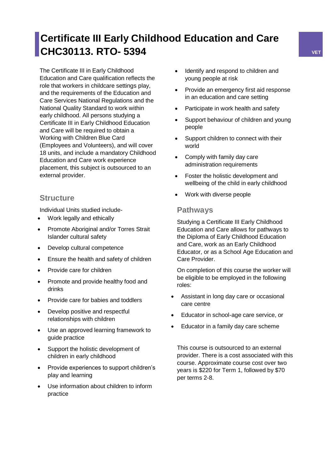# **Certificate III Early Childhood Education and Care CHC30113. RTO- 5394 VET**

The Certificate III in Early Childhood Education and Care qualification reflects the role that workers in childcare settings play, and the requirements of the Education and Care Services National Regulations and the National Quality Standard to work within early childhood. All persons studying a Certificate III in Early Childhood Education and Care will be required to obtain a Working with Children Blue Card (Employees and Volunteers), and will cover 18 units, and include a mandatory Childhood Education and Care work experience placement, this subject is outsourced to an external provider.

# **Structure**

Individual Units studied include-

- Work legally and ethically
- Promote Aboriginal and/or Torres Strait Islander cultural safety
- Develop cultural competence
- Ensure the health and safety of children
- Provide care for children
- Promote and provide healthy food and drinks
- Provide care for babies and toddlers
- Develop positive and respectful relationships with children
- Use an approved learning framework to guide practice
- Support the holistic development of children in early childhood
- Provide experiences to support children's play and learning
- Use information about children to inform practice
- Identify and respond to children and young people at risk
- Provide an emergency first aid response in an education and care setting
- Participate in work health and safety
- Support behaviour of children and young people
- Support children to connect with their world
- Comply with family day care administration requirements
- Foster the holistic development and wellbeing of the child in early childhood
- Work with diverse people

## **Pathways**

Studying a Certificate III Early Childhood Education and Care allows for pathways to the Diploma of Early Childhood Education and Care, work as an Early Childhood Educator, or as a School Age Education and Care Provider.

On completion of this course the worker will be eligible to be employed in the following roles:

- Assistant in long day care or occasional care centre
- Educator in school-age care service, or
- Educator in a family day care scheme

This course is outsourced to an external provider. There is a cost associated with this course. Approximate course cost over two years is \$220 for Term 1, followed by \$70 per terms 2-8.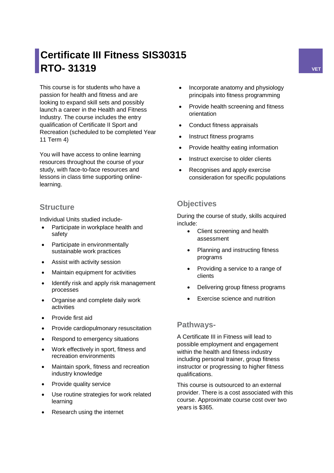# **Certificate III Fitness SIS30315 RTO- 31319 VET**

This course is for students who have a passion for health and fitness and are looking to expand skill sets and possibly launch a career in the Health and Fitness Industry. The course includes the entry qualification of Certificate II Sport and Recreation (scheduled to be completed Year 11 Term 4)

You will have access to online learning resources throughout the course of your study, with face-to-face resources and lessons in class time supporting onlinelearning.

## **Structure**

Individual Units studied include-

- Participate in workplace health and safety
- Participate in environmentally sustainable work practices
- Assist with activity session
- Maintain equipment for activities
- Identify risk and apply risk management processes
- Organise and complete daily work activities
- Provide first aid
- Provide cardiopulmonary resuscitation
- Respond to emergency situations
- Work effectively in sport, fitness and recreation environments
- Maintain spork, fitness and recreation industry knowledge
- Provide quality service
- Use routine strategies for work related learning
- Research using the internet
- Incorporate anatomy and physiology principals into fitness programming
- Provide health screening and fitness orientation
- Conduct fitness appraisals
- Instruct fitness programs
- Provide healthy eating information
- Instruct exercise to older clients
- Recognises and apply exercise consideration for specific populations

# **Objectives**

During the course of study, skills acquired include:

- Client screening and health assessment
- Planning and instructing fitness programs
- Providing a service to a range of clients
- Delivering group fitness programs
- Exercise science and nutrition

#### **Pathways-**

A Certificate III in Fitness will lead to possible employment and engagement within the health and fitness industry including personal trainer, group fitness instructor or progressing to higher fitness qualifications.

This course is outsourced to an external provider. There is a cost associated with this course. Approximate course cost over two years is \$365.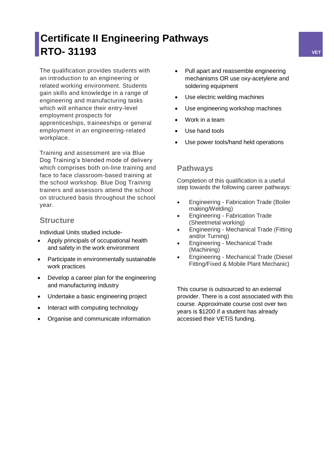# **Certificate II Engineering Pathways RTO- 31193 VET**

The qualification provides students with an introduction to an engineering or related working environment. Students gain skills and knowledge in a range of engineering and manufacturing tasks which will enhance their entry-level employment prospects for apprenticeships, traineeships or general employment in an engineering-related workplace.

Training and assessment are via Blue Dog Training's blended mode of delivery which comprises both on-line training and face to face classroom-based training at the school workshop. Blue Dog Training trainers and assessors attend the school on structured basis throughout the school year.

## **Structure**

Individual Units studied include-

- Apply principals of occupational health and safety in the work environment
- Participate in environmentally sustainable work practices
- Develop a career plan for the engineering and manufacturing industry
- Undertake a basic engineering project
- Interact with computing technology
- Organise and communicate information
- Pull apart and reassemble engineering mechanisms OR use oxy-acetylene and soldering equipment
- Use electric welding machines
- Use engineering workshop machines
- Work in a team
- Use hand tools
- Use power tools/hand held operations

#### **Pathways**

Completion of this qualification is a useful step towards the following career pathways:

- Engineering Fabrication Trade (Boiler making/Welding)
- Engineering Fabrication Trade (Sheetmetal working)
- Engineering Mechanical Trade (Fitting and/or Turning)
- Engineering Mechanical Trade (Machining)
- Engineering Mechanical Trade (Diesel Fitting/Fixed & Mobile Plant Mechanic)

This course is outsourced to an external provider. There is a cost associated with this course. Approximate course cost over two years is \$1200 if a student has already accessed their VETiS funding.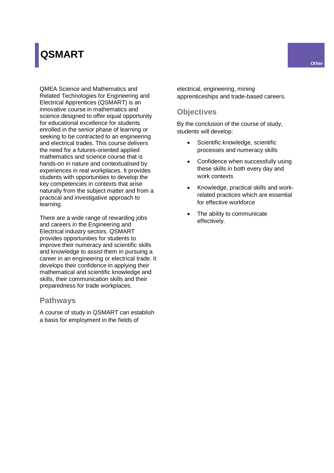# **QSMART**

QMEA Science and Mathematics and Related Technologies for Engineering and Electrical Apprentices (QSMART) is an innovative course in mathematics and science designed to offer equal opportunity for educational excellence for students enrolled in the senior phase of learning or seeking to be contracted to an engineering and electrical trades. This course delivers the need for a futures-oriented applied mathematics and science course that is hands-on in nature and contextualised by experiences in real workplaces. It provides students with opportunities to develop the key competencies in contexts that arise naturally from the subject matter and from a practical and investigative approach to learning.

There are a wide range of rewarding jobs and careers in the Engineering and Electrical industry sectors. QSMART provides opportunities for students to improve their numeracy and scientific skills and knowledge to assist them in pursuing a career in an engineering or electrical trade. It develops their confidence in applying their mathematical and scientific knowledge and skills, their communication skills and their preparedness for trade workplaces.

#### **Pathways**

A course of study in QSMART can establish a basis for employment in the fields of

electrical, engineering, mining apprenticeships and trade-based careers.

### **Objectives**

- Scientific knowledge, scientific processes and numeracy skills
- Confidence when successfully using these skills in both every day and work contexts
- Knowledge, practical skills and workrelated practices which are essential for effective workforce
- The ability to communicate effectively.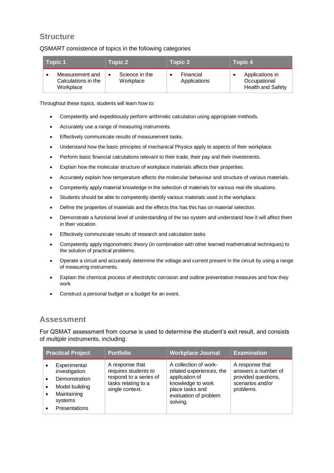QSMART consistence of topics in the following categories

| Topic 1                                             | Topic 2                     | Topic 3                   | Topic 4                                                     |
|-----------------------------------------------------|-----------------------------|---------------------------|-------------------------------------------------------------|
| Measurement and<br>Calculations in the<br>Workplace | Science in the<br>Workplace | Financial<br>Applications | Applications in<br>Occupational<br><b>Health and Safety</b> |

Throughout these topics, students will learn how to:

- Competently and expeditiously perform arithmetic calculation using appropriate methods.
- Accurately use a range of measuring instruments.
- Effectively communicate results of measurement tasks.
- Understand how the basic principles of mechanical Physics apply to aspects of their workplace.
- Perform basic financial calculations relevant to their trade, their pay and their investments.
- Explain how the molecular structure of workplace materials affects their properties.
- Accurately explain how temperature affects the molecular behaviour and structure of various materials.
- Competently apply material knowledge in the selection of materials for various real-life situations.
- Students should be able to competently identify various materials used in the workplace.
- Define the properties of materials and the effects this has this has on material selection.
- Demonstrate a functional level of understanding of the tax system and understand how it will affect them in their vocation.
- Effectively communicate results of research and calculation tasks
- Competently apply trigonometric theory (in combination with other learned mathematical techniques) to the solution of practical problems.
- Operate a circuit and accurately determine the voltage and current present in the circuit by using a range of measuring instruments.
- Explain the chemical process of electrolytic corrosion and outline preventative measures and how they work
- Construct a personal budget or a budget for an event.

#### **Assessment**

For QSMAT assessment from course is used to determine the student's exit result, and consists of *multiple* instruments, including:

| <b>Practical Project</b>                                                                                           | <b>Portfolio</b>                                                                                            | <b>Workplace Journal</b>                                                                                                                         | <b>Examination</b>                                                                             |
|--------------------------------------------------------------------------------------------------------------------|-------------------------------------------------------------------------------------------------------------|--------------------------------------------------------------------------------------------------------------------------------------------------|------------------------------------------------------------------------------------------------|
| Experimental<br>investigation<br>Demonstration<br>Model building<br>Maintaining<br>systems<br><b>Presentations</b> | A response that<br>requires students to<br>respond to a series of<br>tasks relating to a<br>single context. | A collection of work-<br>related experiences, the<br>application of<br>knowledge to work<br>place tasks and<br>evaluation of problem<br>solving. | A response that<br>answers a number of<br>provided questions,<br>scenarios and/or<br>problems. |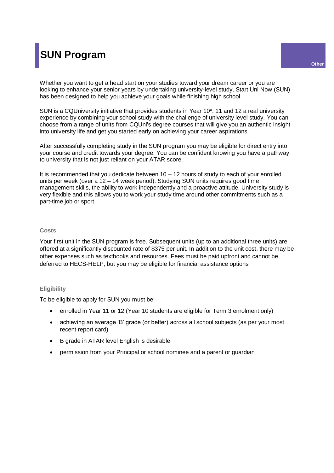# **SUN Program**

Whether you want to get a head start on your studies toward your dream career or you are looking to enhance your senior years by undertaking university-level study, Start Uni Now (SUN) has been designed to help you achieve your goals while finishing high school.

SUN is a CQUniversity initiative that provides students in Year 10\*, 11 and 12 a real university experience by combining your school study with the challenge of university level study. You can choose from a range of units from CQUni's degree courses that will give you an authentic insight into university life and get you started early on achieving your career aspirations.

After successfully completing study in the SUN program you may be eligible for direct entry into your course and credit towards your degree. You can be confident knowing you have a pathway to university that is not just reliant on your ATAR score.

It is recommended that you dedicate between  $10 - 12$  hours of study to each of your enrolled units per week (over a 12 – 14 week period). Studying SUN units requires good time management skills, the ability to work independently and a proactive attitude. University study is very flexible and this allows you to work your study time around other commitments such as a part-time job or sport.

#### **Costs**

Your first unit in the SUN program is free. Subsequent units (up to an additional three units) are offered at a significantly discounted rate of \$375 per unit. In addition to the unit cost, there may be other expenses such as textbooks and resources. Fees must be paid upfront and cannot be deferred to HECS-HELP, but you may be eligible for financial assistance options

#### **Eligibility**

To be eligible to apply for SUN you must be:

- enrolled in Year 11 or 12 (Year 10 students are eligible for Term 3 enrolment only)
- achieving an average 'B' grade (or better) across all school subjects (as per your most recent report card)
- B grade in ATAR level English is desirable
- permission from your Principal or school nominee and a parent or guardian